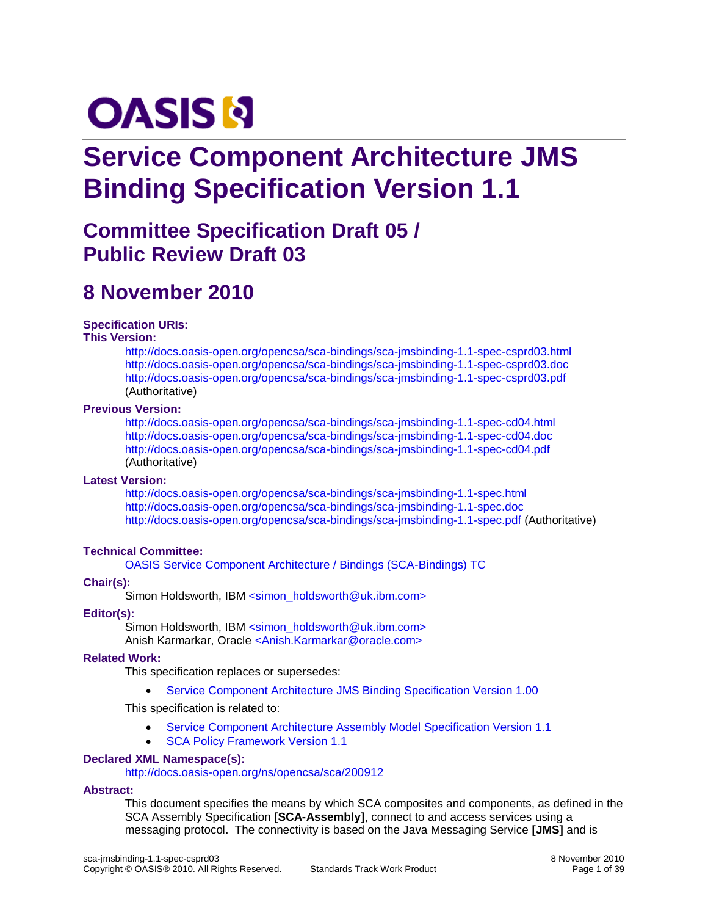# **OASIS N**

# **Service Component Architecture JMS Binding Specification Version 1.1**

# **Committee Specification Draft 05 / Public Review Draft 03**

# **8 November 2010**

#### **Specification URIs:**

#### **This Version:**

<http://docs.oasis-open.org/opencsa/sca-bindings/sca-jmsbinding-1.1-spec-csprd03.html> <http://docs.oasis-open.org/opencsa/sca-bindings/sca-jmsbinding-1.1-spec-csprd03.doc> <http://docs.oasis-open.org/opencsa/sca-bindings/sca-jmsbinding-1.1-spec-csprd03.pdf> (Authoritative)

#### **Previous Version:**

<http://docs.oasis-open.org/opencsa/sca-bindings/sca-jmsbinding-1.1-spec-cd04.html> <http://docs.oasis-open.org/opencsa/sca-bindings/sca-jmsbinding-1.1-spec-cd04.doc> <http://docs.oasis-open.org/opencsa/sca-bindings/sca-jmsbinding-1.1-spec-cd04.pdf> (Authoritative)

#### **Latest Version:**

<http://docs.oasis-open.org/opencsa/sca-bindings/sca-jmsbinding-1.1-spec.html> <http://docs.oasis-open.org/opencsa/sca-bindings/sca-jmsbinding-1.1-spec.doc> <http://docs.oasis-open.org/opencsa/sca-bindings/sca-jmsbinding-1.1-spec.pdf> (Authoritative)

#### **Technical Committee:**

[OASIS Service Component Architecture / Bindings \(SCA-Bindings\) TC](http://www.oasis-open.org/committees/sca-bindings)

#### **Chair(s):**

Simon Holdsworth, IBM [<simon\\_holdsworth@uk.ibm.com>](mailto:simon_holdsworth@uk.ibm.com)

#### **Editor(s):**

Simon Holdsworth, IBM [<simon\\_holdsworth@uk.ibm.com>](mailto:simon_holdsworth@uk.ibm.com) Anish Karmarkar, Oracle [<Anish.Karmarkar@oracle.com>](mailto:Anish.Karmarkar@oracle.com)

#### **Related Work:**

This specification replaces or supersedes:

Service Component Architecture [JMS Binding Specification Version 1.00](http://www.osoa.org/download/attachments/35/SCA_JMSBinding_V100.pdf?version=2)

This specification is related to:

- [Service Component Architecture Assembly Model Specification Version 1.1](http://docs.oasis-open.org/opencsa/sca-assembly/sca-assembly-1.1-spec.html)
- [SCA Policy Framework Version 1.1](http://docs.oasis-open.org/opencsa/sca-policy/sca-policy-1.1.html)

#### **Declared XML Namespace(s):**

<http://docs.oasis-open.org/ns/opencsa/sca/200912>

#### **Abstract:**

This document specifies the means by which SCA composites and components, as defined in the SCA Assembly Specification **[\[SCA-Assembly\]](#page-5-0)**, connect to and access services using a messaging protocol. The connectivity is based on the Java Messaging Service **[\[JMS\]](#page-4-0)** and is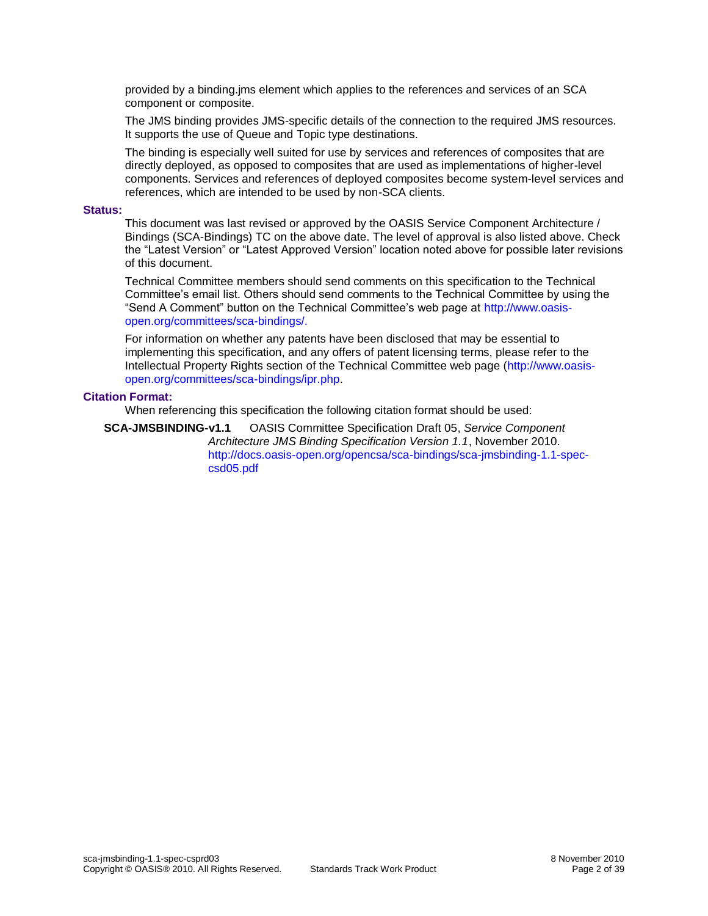provided by a binding.jms element which applies to the references and services of an SCA component or composite.

The JMS binding provides JMS-specific details of the connection to the required JMS resources. It supports the use of Queue and Topic type destinations.

The binding is especially well suited for use by services and references of composites that are directly deployed, as opposed to composites that are used as implementations of higher-level components. Services and references of deployed composites become system-level services and references, which are intended to be used by non-SCA clients.

#### **Status:**

This document was last revised or approved by the OASIS Service Component Architecture / Bindings (SCA-Bindings) TC on the above date. The level of approval is also listed above. Check the "Latest Version" or "Latest Approved Version" location noted above for possible later revisions of this document.

Technical Committee members should send comments on this specification to the Technical Committee's email list. Others should send comments to the Technical Committee by using the "Send A Comment" button on the Technical Committee's web page at [http://www.oasis](http://www.oasis-open.org/committees/sca-bindings/)[open.org/committees/sca-bindings/.](http://www.oasis-open.org/committees/sca-bindings/)

For information on whether any patents have been disclosed that may be essential to implementing this specification, and any offers of patent licensing terms, please refer to the Intellectual Property Rights section of the Technical Committee web page [\(http://www.oasis](http://www.oasis-open.org/committees/sca-bindings/ipr.php)[open.org/committees/sca-bindings/ipr.php.](http://www.oasis-open.org/committees/sca-bindings/ipr.php)

#### **Citation Format:**

When referencing this specification the following citation format should be used:

**SCA-JMSBINDING-v1.1** OASIS Committee Specification Draft 05, *Service Component Architecture JMS Binding Specification Version 1.1*, November 2010. [http://docs.oasis-open.org/opencsa/sca-bindings/sca-jmsbinding-1.1-spec](http://docs.oasis-open.org/opencsa/sca-bindings/sca-jmsbinding-1.1-spec-csd05.pdf)[csd05.pdf](http://docs.oasis-open.org/opencsa/sca-bindings/sca-jmsbinding-1.1-spec-csd05.pdf)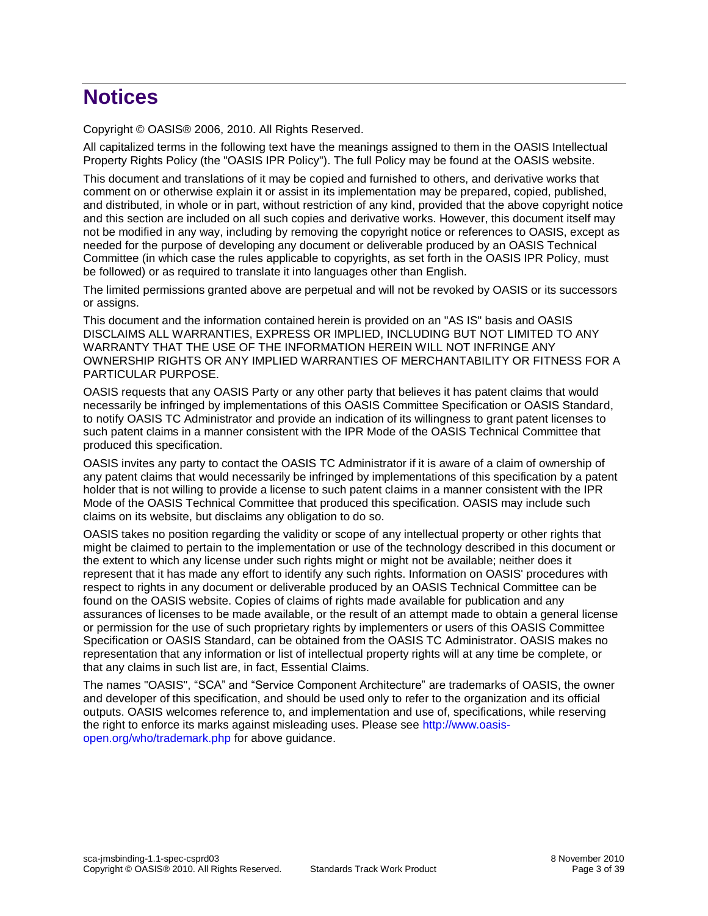# **Notices**

Copyright © OASIS® 2006, 2010. All Rights Reserved.

All capitalized terms in the following text have the meanings assigned to them in the OASIS Intellectual Property Rights Policy (the "OASIS IPR Policy"). The full Policy may be found at the OASIS website.

This document and translations of it may be copied and furnished to others, and derivative works that comment on or otherwise explain it or assist in its implementation may be prepared, copied, published, and distributed, in whole or in part, without restriction of any kind, provided that the above copyright notice and this section are included on all such copies and derivative works. However, this document itself may not be modified in any way, including by removing the copyright notice or references to OASIS, except as needed for the purpose of developing any document or deliverable produced by an OASIS Technical Committee (in which case the rules applicable to copyrights, as set forth in the OASIS IPR Policy, must be followed) or as required to translate it into languages other than English.

The limited permissions granted above are perpetual and will not be revoked by OASIS or its successors or assigns.

This document and the information contained herein is provided on an "AS IS" basis and OASIS DISCLAIMS ALL WARRANTIES, EXPRESS OR IMPLIED, INCLUDING BUT NOT LIMITED TO ANY WARRANTY THAT THE USE OF THE INFORMATION HEREIN WILL NOT INFRINGE ANY OWNERSHIP RIGHTS OR ANY IMPLIED WARRANTIES OF MERCHANTABILITY OR FITNESS FOR A PARTICULAR PURPOSE.

OASIS requests that any OASIS Party or any other party that believes it has patent claims that would necessarily be infringed by implementations of this OASIS Committee Specification or OASIS Standard, to notify OASIS TC Administrator and provide an indication of its willingness to grant patent licenses to such patent claims in a manner consistent with the IPR Mode of the OASIS Technical Committee that produced this specification.

OASIS invites any party to contact the OASIS TC Administrator if it is aware of a claim of ownership of any patent claims that would necessarily be infringed by implementations of this specification by a patent holder that is not willing to provide a license to such patent claims in a manner consistent with the IPR Mode of the OASIS Technical Committee that produced this specification. OASIS may include such claims on its website, but disclaims any obligation to do so.

OASIS takes no position regarding the validity or scope of any intellectual property or other rights that might be claimed to pertain to the implementation or use of the technology described in this document or the extent to which any license under such rights might or might not be available; neither does it represent that it has made any effort to identify any such rights. Information on OASIS' procedures with respect to rights in any document or deliverable produced by an OASIS Technical Committee can be found on the OASIS website. Copies of claims of rights made available for publication and any assurances of licenses to be made available, or the result of an attempt made to obtain a general license or permission for the use of such proprietary rights by implementers or users of this OASIS Committee Specification or OASIS Standard, can be obtained from the OASIS TC Administrator. OASIS makes no representation that any information or list of intellectual property rights will at any time be complete, or that any claims in such list are, in fact, Essential Claims.

The names "OASIS", "SCA" and "Service Component Architecture" are trademarks of OASIS, the owner and developer of this specification, and should be used only to refer to the organization and its official outputs. OASIS welcomes reference to, and implementation and use of, specifications, while reserving the right to enforce its marks against misleading uses. Please see [http://www.oasis](http://www.oasis-open.org/who/trademark.php)[open.org/who/trademark.php](http://www.oasis-open.org/who/trademark.php) for above guidance.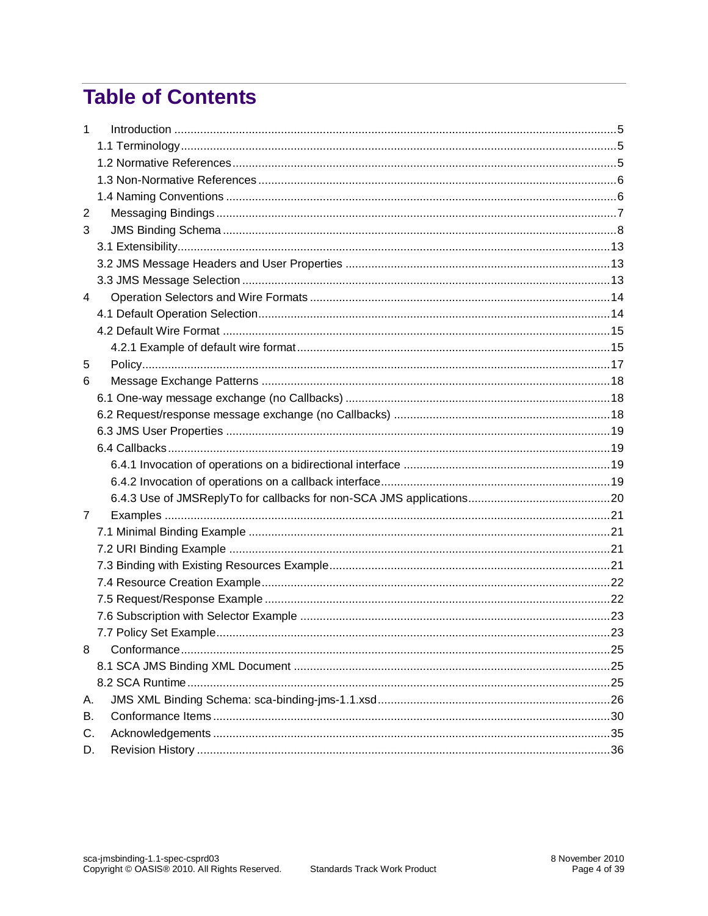# **Table of Contents**

| $\mathbf{1}$   |  |
|----------------|--|
|                |  |
|                |  |
|                |  |
|                |  |
| 2              |  |
| 3              |  |
|                |  |
|                |  |
|                |  |
| 4              |  |
|                |  |
|                |  |
|                |  |
| 5              |  |
| 6              |  |
|                |  |
|                |  |
|                |  |
|                |  |
|                |  |
|                |  |
|                |  |
| $\overline{7}$ |  |
|                |  |
|                |  |
|                |  |
|                |  |
|                |  |
|                |  |
|                |  |
| 8              |  |
|                |  |
|                |  |
| А.             |  |
| В.             |  |
| C.             |  |
| D.             |  |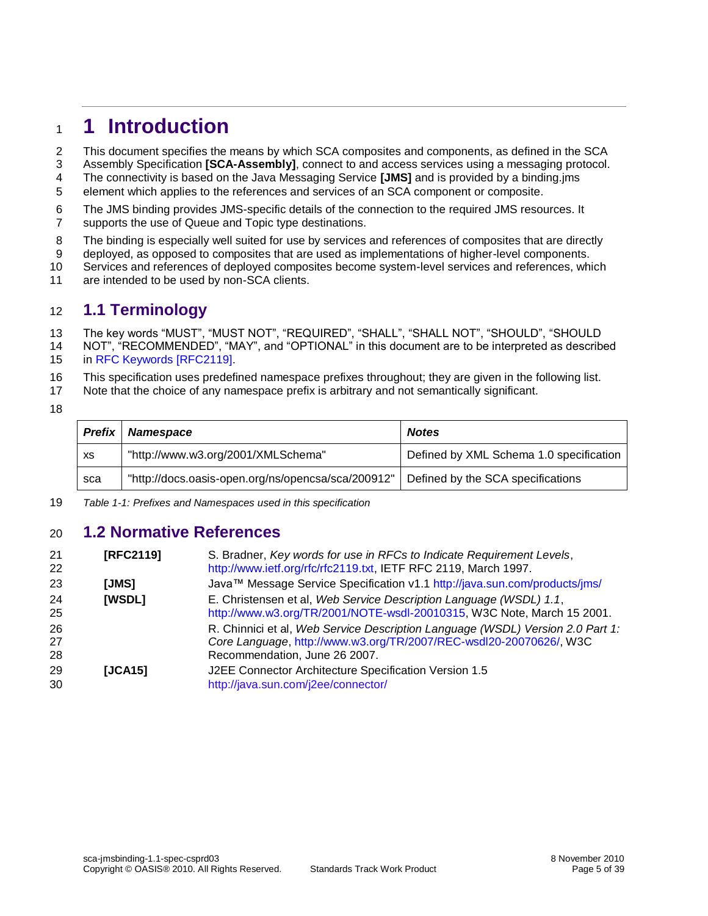### <span id="page-4-1"></span>**1 Introduction**

This document specifies the means by which SCA composites and components, as defined in the SCA

- Assembly Specification **[\[SCA-Assembly\]](#page-5-0)**, connect to and access services using a messaging protocol. The connectivity is based on the Java Messaging Service **[\[JMS\]](#page-4-0)** and is provided by a binding.jms
- element which applies to the references and services of an SCA component or composite.
- The JMS binding provides JMS-specific details of the connection to the required JMS resources. It supports the use of Queue and Topic type destinations.
- The binding is especially well suited for use by services and references of composites that are directly
- deployed, as opposed to composites that are used as implementations of higher-level components.
- Services and references of deployed composites become system-level services and references, which
- are intended to be used by non-SCA clients.

### <span id="page-4-2"></span>**1.1 Terminology**

- The key words "MUST", "MUST NOT", "REQUIRED", "SHALL", "SHALL NOT", "SHOULD", "SHOULD NOT", "RECOMMENDED", "MAY", and "OPTIONAL" in this document are to be interpreted as described in [RFC Keywords](#page-4-4) [RFC2119].
- This specification uses predefined namespace prefixes throughout; they are given in the following list.
- Note that the choice of any namespace prefix is arbitrary and not semantically significant.
- 

| <b>Prefix</b> | <b>Namespace</b>                                   | <b>Notes</b>                            |
|---------------|----------------------------------------------------|-----------------------------------------|
| XS            | "http://www.w3.org/2001/XMLSchema"                 | Defined by XML Schema 1.0 specification |
| sca           | "http://docs.oasis-open.org/ns/opencsa/sca/200912" | Defined by the SCA specifications       |

*Table 1-1: Prefixes and Namespaces used in this specification*

#### <span id="page-4-3"></span>**1.2 Normative References**

<span id="page-4-6"></span><span id="page-4-5"></span><span id="page-4-4"></span><span id="page-4-0"></span>

| 21<br>22       | [RFC2119] | S. Bradner, Key words for use in RFCs to Indicate Requirement Levels,<br>http://www.ietf.org/rfc/rfc2119.txt, IETF RFC 2119, March 1997.                                              |
|----------------|-----------|---------------------------------------------------------------------------------------------------------------------------------------------------------------------------------------|
| 23             | [JMS]     | Java™ Message Service Specification v1.1 http://java.sun.com/products/jms/                                                                                                            |
| 24<br>25       | [WSDL]    | E. Christensen et al, Web Service Description Language (WSDL) 1.1,<br>http://www.w3.org/TR/2001/NOTE-wsdl-20010315, W3C Note, March 15 2001.                                          |
| 26<br>27<br>28 |           | R. Chinnici et al, Web Service Description Language (WSDL) Version 2.0 Part 1:<br>Core Language, http://www.w3.org/TR/2007/REC-wsdl20-20070626/, W3C<br>Recommendation, June 26 2007. |
| 29<br>30       | [JCA15]   | J2EE Connector Architecture Specification Version 1.5<br>http://java.sun.com/j2ee/connector/                                                                                          |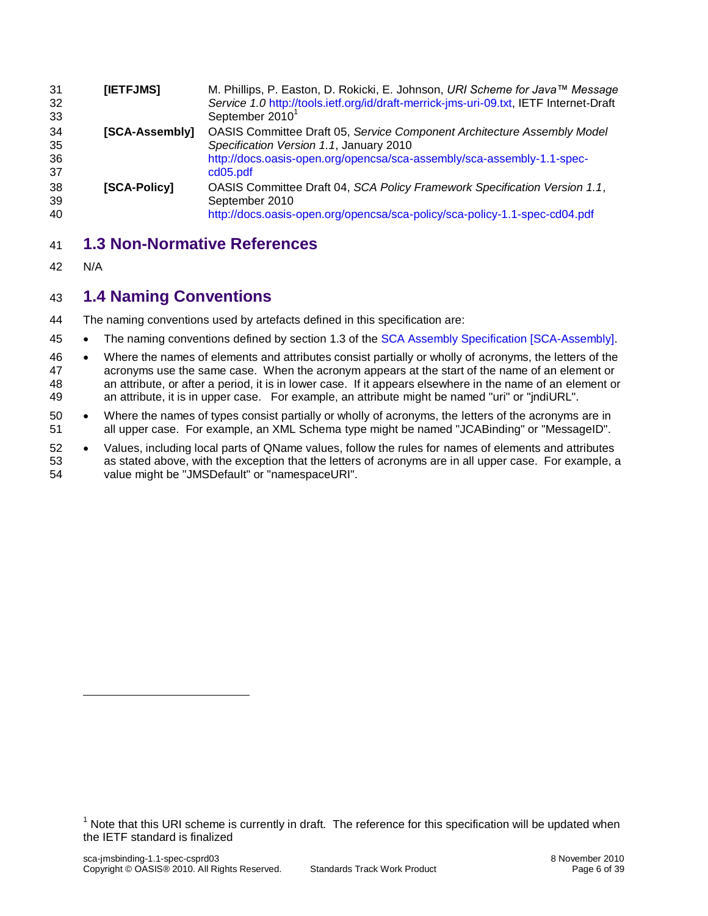<span id="page-5-4"></span><span id="page-5-0"></span>

| 31<br>32<br>33       | [IETFJMS]      | M. Phillips, P. Easton, D. Rokicki, E. Johnson, URI Scheme for Java™ Message<br>Service 1.0 http://tools.ietf.org/id/draft-merrick-jms-uri-09.txt, IETF Internet-Draft<br>September 2010                 |
|----------------------|----------------|----------------------------------------------------------------------------------------------------------------------------------------------------------------------------------------------------------|
| 34<br>35<br>36<br>37 | [SCA-Assembly] | OASIS Committee Draft 05, Service Component Architecture Assembly Model<br>Specification Version 1.1, January 2010<br>http://docs.oasis-open.org/opencsa/sca-assembly/sca-assembly-1.1-spec-<br>cd05.pdf |
| 38<br>39<br>40       | [SCA-Policy]   | OASIS Committee Draft 04, SCA Policy Framework Specification Version 1.1,<br>September 2010<br>http://docs.oasis-open.org/opencsa/sca-policy/sca-policy-1.1-spec-cd04.pdf                                |

### <span id="page-5-3"></span><span id="page-5-1"></span>**1.3 Non-Normative References**

N/A

### <span id="page-5-2"></span>**1.4 Naming Conventions**

The naming conventions used by artefacts defined in this specification are:

- 45 The naming conventions defined by section 1.3 of the [SCA Assembly Specification \[SCA-Assembly\].](#page-5-0)
- 46 Where the names of elements and attributes consist partially or wholly of acronyms, the letters of the acronyms use the same case. When the acronym appears at the start of the name of an element or an attribute, or after a period, it is in lower case. If it appears elsewhere in the name of an element or an attribute, it is in upper case. For example, an attribute might be named "uri" or "jndiURL".
- Where the names of types consist partially or wholly of acronyms, the letters of the acronyms are in all upper case. For example, an XML Schema type might be named "JCABinding" or "MessageID".
- 52 . Values, including local parts of QName values, follow the rules for names of elements and attributes as stated above, with the exception that the letters of acronyms are in all upper case. For example, a value might be "JMSDefault" or "namespaceURI".

 Note that this URI scheme is currently in draft. The reference for this specification will be updated when the IETF standard is finalized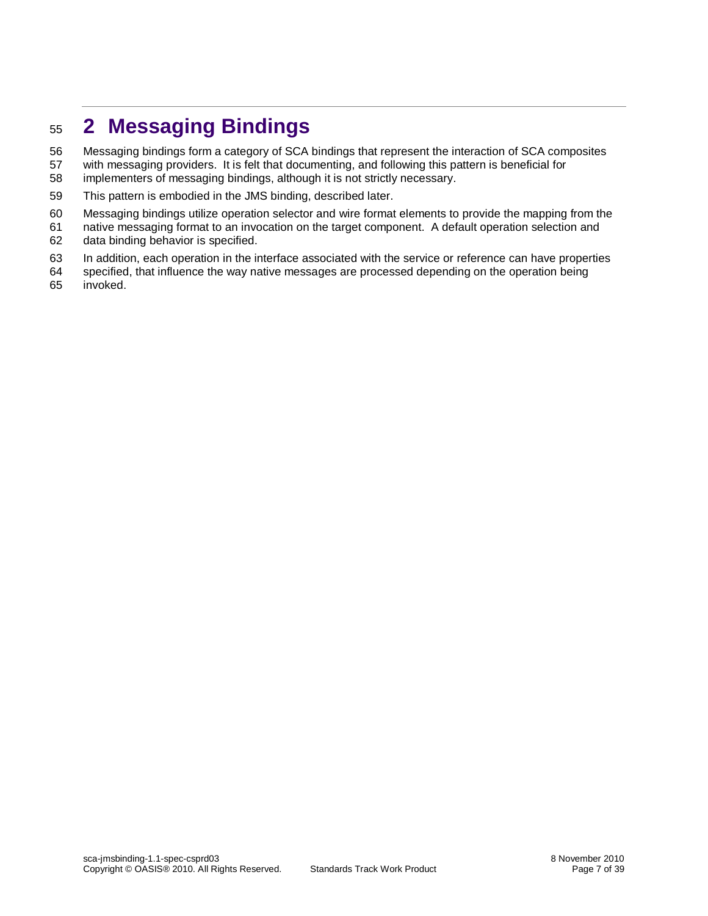# <span id="page-6-0"></span>**2 Messaging Bindings**

Messaging bindings form a category of SCA bindings that represent the interaction of SCA composites

- with messaging providers. It is felt that documenting, and following this pattern is beneficial for
- implementers of messaging bindings, although it is not strictly necessary.
- This pattern is embodied in the JMS binding, described later.
- Messaging bindings utilize operation selector and wire format elements to provide the mapping from the
- native messaging format to an invocation on the target component. A default operation selection and
- data binding behavior is specified.
- In addition, each operation in the interface associated with the service or reference can have properties
- specified, that influence the way native messages are processed depending on the operation being invoked.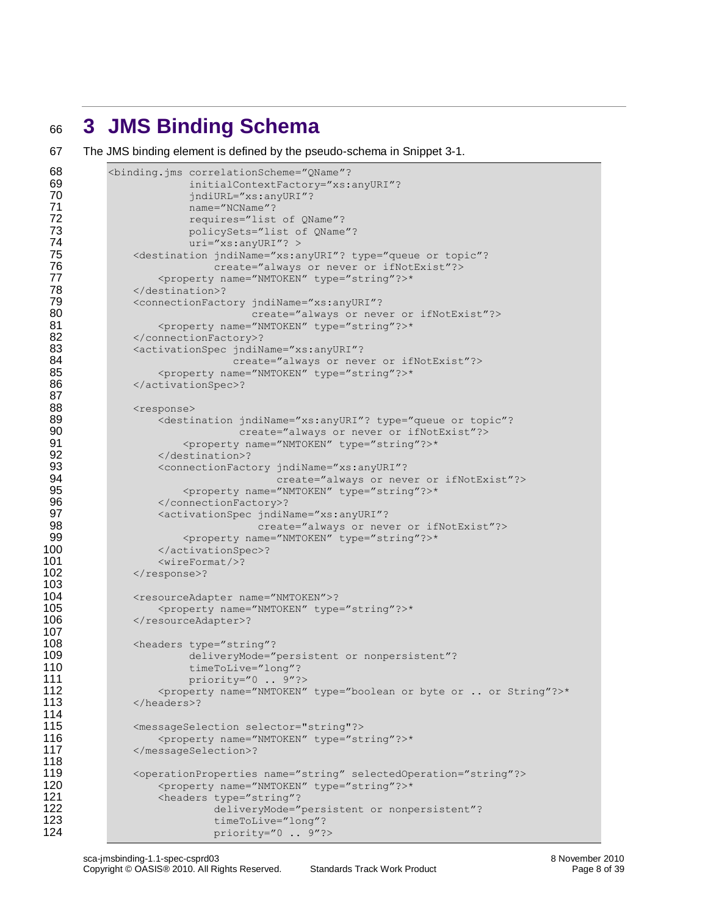# <span id="page-7-0"></span><sup>66</sup> **3 JMS Binding Schema**

67 The JMS binding element is defined by the pseudo-schema in [Snippet 3-1.](#page-8-0)

```
68 <br />
Shinding.jms correlationScheme="QName"?<br>
69 initialContextFactory="xs:
                         initialContextFactory="xs:anyURI"?
 70 jndiURL="xs:anyURI"?
 71 name="NCName"?<br>72 requires="list
                         requires="list of QName"?
 73 policySets="list of QName"?<br>74 policySets="list of QName"?
 74 uri="xs:anyURI"? >
 75 <destination jndiName="xs:anyURI"? type="queue or topic"?<br>76 create="always or never or ifNotExist"?>
                             create="always or never or ifNotExist"?>
 77 <property name="NMTOKEN" type="string"?>*
 78 </destination>?<br>79 <connectionFact>
               79 <connectionFactory jndiName="xs:anyURI"?
 80 80 create="always or never or ifNotExist"?>
 81 <property name="NMTOKEN" type="string"?>*<br>82 </connectionFactory>?
 82 </connectionFactory>?<br>83 <activationSpec indiNa
 83 <activationSpec jndiName="xs:anyURI"?<br>84 create="always or nev
                                create="always or never or ifNotExist"?>
 85 <property name="NMTOKEN" type="string"?>*
 86 </activationSpec>?
 87
 88 <response><br>89 <esponse>
 89 (destination jndiName="xs:anyURI"? type="queue or topic"?<br>80 (create="always or never or ifNotExist"?>
                                  create="always or never or ifNotExist"?>
 91 <property name="NMTOKEN" type="string"?>*<br>92 </destination>?
                    92 </destination>?
 93 ConnectionFactory jndiName="xs:anyURI"?<br>94 Create="always or nev
 94 create="always or never or ifNotExist"?><br>95 create="NATOKEN" type="string"?>*
 95 \langleproperty name="NMTOKEN" type="string"?>*<br>96 </connectionFactory>?
 96 </connectionFactory>?<br>97 <activationSpec indiN
                    97 <activationSpec jndiName="xs:anyURI"?
 98 create="always or never or ifNotExist"?><br>99 coroperty name="NMTOKEN" type="string"?>*
                        99 <property name="NMTOKEN" type="string"?>*
100 </activationSpec>?
101 <wireFormat/>?
102 </response>?
103
104 <resourceAdapter name="NMTOKEN">?<br>105 <property name="NMTOKEN" type
105 <property name="NMTOKEN" type="string"?>*<br>106 </resourceAdapter>?
               </resourceAdapter>?
107
108 <headers type="string"?<br>109 deliveryMode="
109 deliveryMode="persistent or nonpersistent"?<br>110 timeToLive="long"?
110 timeToLive="long"?<br>111 priority="0...9"?
                         priority="0 .. 9"?>
112 <property name="NMTOKEN" type="boolean or byte or .. or String"?>*<br>113 </headers>?
               </headers>?
114
115 <messageSelection selector="string"?> 
116 <property name="NMTOKEN" type="string"?>* 
117 </messageSelection>?
118
               119 <operationProperties name="string" selectedOperation="string"?>
120 > <property name="NMTOKEN" type="string"?>*<br>121 > <headers type="string"?
                    <headers type="string"?
122 deliveryMode="persistent or nonpersistent"?<br>123 timeToLive="long"?
123 timeToLive="long"?<br>124 priority="0..9"?
                             priority="0 .. 9"?>
```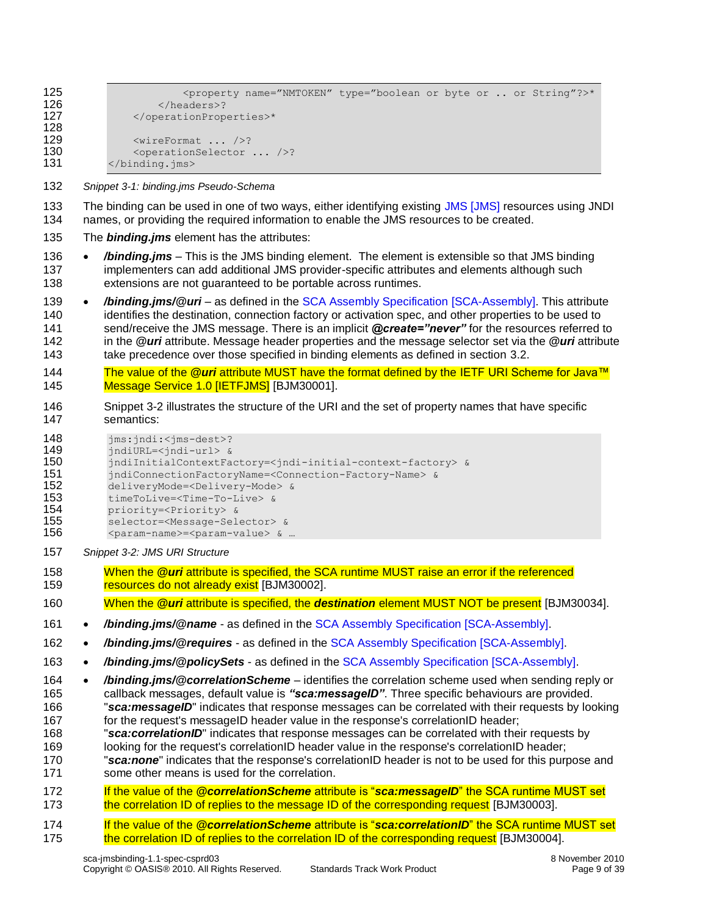```
125 <property name="NMTOKEN" type="boolean or byte or .. or String"?>*
126 </headers>?<br>127 </operationProp
             127 </operationProperties>*
128
             <wireFormat ... />?
130 <operationSelector ... />?
131 </binding.jms>
```
- <span id="page-8-0"></span>*Snippet 3-1: binding.jms Pseudo-Schema*
- The binding can be used in one of two ways, either identifying existing JMS [\[JMS\]](#page-4-0) resources using JNDI names, or providing the required information to enable the JMS resources to be created.
- The *binding.jms* element has the attributes:
- */binding.jms* This is the JMS binding element. The element is extensible so that JMS binding implementers can add additional JMS provider-specific attributes and elements although such extensions are not guaranteed to be portable across runtimes.
- */binding.jms/@uri*  as defined in the [SCA Assembly Specification \[SCA-Assembly\].](#page-5-0) This attribute 140 identifies the destination, connection factory or activation spec, and other properties to be used to send/receive the JMS message. There is an implicit *@create="never"* for the resources referred to in the *@uri* attribute. Message header properties and the message selector set via the *@uri* attribute 143 take precedence over those specified in binding elements as defined in section [3.2.](#page-12-1)
- <span id="page-8-2"></span> The value of the *@uri* [attribute MUST have the format defined by the IETF URI Scheme for Java™](#page-29-1)  [Message Service 1.0 \[IETFJMS\]](#page-29-1) [BJM30001].
- [Snippet 3-2](#page-8-1) illustrates the structure of the URI and the set of property names that have specific semantics:

| 148 | $jms:jndi:$ ? |
|-----|---------------|
|-----|---------------|

jndiURL=<jndi-url> &

```
150 jndiInitialContextFactory=<jndi-initial-context-factory> &
```

```
151 jndiConnectionFactoryName=<Connection-Factory-Name> &<br>152 delivervMode=<Deliverv-Mode> &
```
- deliveryMode=<Delivery-Mode> &
- timeToLive=<Time-To-Live> &
- 154 priority=<Priority> &<br>155 selector=<Message-Sel
- selector=<Message-Selector> &
- 156 <param-name>=<param-value> & ...
- <span id="page-8-1"></span>*Snippet 3-2: JMS URI Structure*
- <span id="page-8-3"></span> When the *@uri* [attribute is specified, the SCA runtime MUST raise an error if the referenced](#page-29-2)  [resources do not already exist](#page-29-2) [BJM30002].
- <span id="page-8-6"></span>When the *@uri* attribute is specified, the *destination* [element MUST NOT be present](#page-31-0) [BJM30034].
- **•** /binding.jms/@name as defined in th[e SCA Assembly Specification \[SCA-Assembly\].](#page-5-0)
- */binding.jms/@requires* as defined in the [SCA Assembly Specification \[SCA-Assembly\].](#page-5-0)
- */binding.jms/@policySets* as defined in the [SCA Assembly Specification \[SCA-Assembly\].](#page-5-0)
- */binding.jms/@correlationScheme*  identifies the correlation scheme used when sending reply or callback messages, default value is *"sca:messageID"*. Three specific behaviours are provided. "*sca:messageID*" indicates that response messages can be correlated with their requests by looking for the request's messageID header value in the response's correlationID header;
- "*sca:correlationID*" indicates that response messages can be correlated with their requests by
- looking for the request's correlationID header value in the response's correlationID header; "*sca:none*" indicates that the response's correlationID header is not to be used for this purpose and
- some other means is used for the correlation.
- <span id="page-8-4"></span> If the value of the *@correlationScheme* attribute is "*sca:messageID*[" the SCA runtime MUST set](#page-29-3)  [the correlation ID of replies to the message ID of the corresponding request](#page-29-3) [BJM30003].
- <span id="page-8-5"></span> If the value of the *@correlationScheme* attribute is "*sca:correlationID*[" the SCA runtime MUST set](#page-29-4)  [the correlation ID of replies to the correlation ID of the corresponding request](#page-29-4) [BJM30004].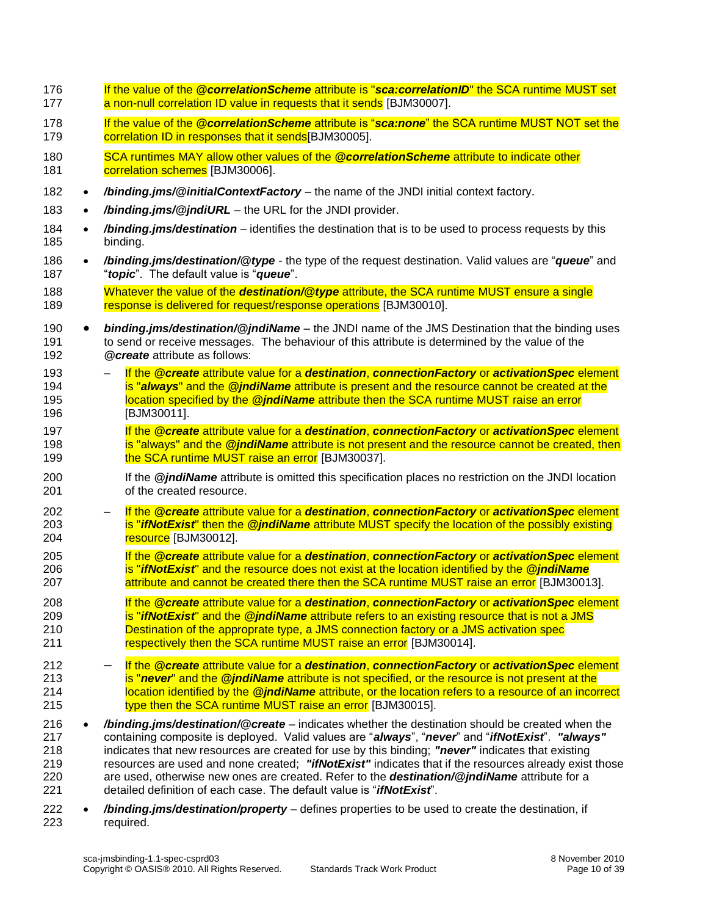<span id="page-9-9"></span><span id="page-9-8"></span><span id="page-9-7"></span><span id="page-9-6"></span><span id="page-9-5"></span><span id="page-9-4"></span><span id="page-9-3"></span><span id="page-9-2"></span><span id="page-9-1"></span><span id="page-9-0"></span> If the value of the *@correlationScheme* attribute is "*sca:correlationID*[" the SCA runtime MUST set](#page-29-5)  **[a non-null correlation ID value in requests that it sends](#page-29-5) [BJM30007].**  If the value of the *@correlationScheme* attribute is "*sca:none*[" the SCA runtime MUST NOT set the](#page-29-6)  179 correlation ID in responses that it sends<sup>[BJM30005]</sup>. [SCA runtimes MAY allow other values of the](#page-29-7) *@correlationScheme* attribute to indicate other [correlation schemes](#page-29-7) [BJM30006]. */binding.jms/@initialContextFactory* – the name of the JNDI initial context factory. 183 • /binding.jms/@jndiURL – the URL for the JNDI provider. */binding.jms/destination* – identifies the destination that is to be used to process requests by this binding. */binding.jms/destination/@type* - the type of the request destination. Valid values are "*queue*" and "*topic*". The default value is "*queue*". Whatever the value of the *destination/@type* [attribute, the SCA runtime MUST ensure a single](#page-29-8)  [response is delivered for request/response operations](#page-29-8) [BJM30010]. *binding.jms/destination/@jndiName* – the JNDI name of the JMS Destination that the binding uses to send or receive messages. The behaviour of this attribute is determined by the value of the *@create* attribute as follows: – If the *@create* attribute value for a *destination*, *[connectionFactory](#page-29-9)* or *activationSpec* element **is "always"** and the **@jndiName** attribute is present and the resource cannot be created at the location specified by the *@jndiName* attribute [then the SCA runtime MUST raise an error](#page-29-9) [BJM30011]. If the *@create* attribute value for a *destination*, *[connectionFactory](#page-31-1)* or *activationSpec* element **is "always" and the** *@jndiName* attribute is not present and the resource cannot be created, then **[the SCA runtime MUST raise an error](#page-31-1) [BJM30037].**  If the *@jndiName* attribute is omitted this specification places no restriction on the JNDI location of the created resource. – If the *@create* attribute value for a *destination*, *[connectionFactory](#page-29-10)* or *activationSpec* element is "*ifNotExist*" then the *@jndiName* [attribute MUST specify the location of the possibly existing](#page-29-10)  **[resource](#page-29-10)** [BJM30012]. If the *@create* attribute value for a *destination*, *[connectionFactory](#page-29-11)* or *activationSpec* element is "*ifNotExist*" and the resource [does not exist at the location](#page-29-11) identified by the *@jndiName* **attribute and [cannot be created there then the SCA runtime MUST raise an error](#page-29-11) [BJM30013].**  If the *@create* attribute value for a *destination*, *[connectionFactory](#page-29-12)* or *activationSpec* element is "*ifNotExist*" and the *@jndiName* [attribute refers to an existing resource that is not a JMS](#page-29-12)  [Destination of the approprate type, a JMS connection factory or a JMS activation spec](#page-29-12)  211 respectively [then the SCA runtime MUST raise an error](#page-29-12) [BJM30014]. – If the *@create* attribute value for a *destination*, *[connectionFactory](#page-29-13)* or *activationSpec* element is "*never*" and the *@jndiName* [attribute is not specified, or the resource is not present at the](#page-29-13)  location identified by the *@jndiName* [attribute, or the location refers to a resource of an incorrect](#page-29-13)  [type then the SCA runtime MUST raise an error](#page-29-13) [BJM30015]. */binding.jms/destination/@create* – indicates whether the destination should be created when the containing composite is deployed. Valid values are "*always*", "*never*" and "*ifNotExist*". *"always"* indicates that new resources are created for use by this binding; *"never"* indicates that existing resources are used and none created; *"ifNotExist"* indicates that if the resources already exist those are used, otherwise new ones are created. Refer to the *destination/@jndiName* attribute for a detailed definition of each case. The default value is "*ifNotExist*". */binding.jms/destination/property* – defines properties to be used to create the destination, if required.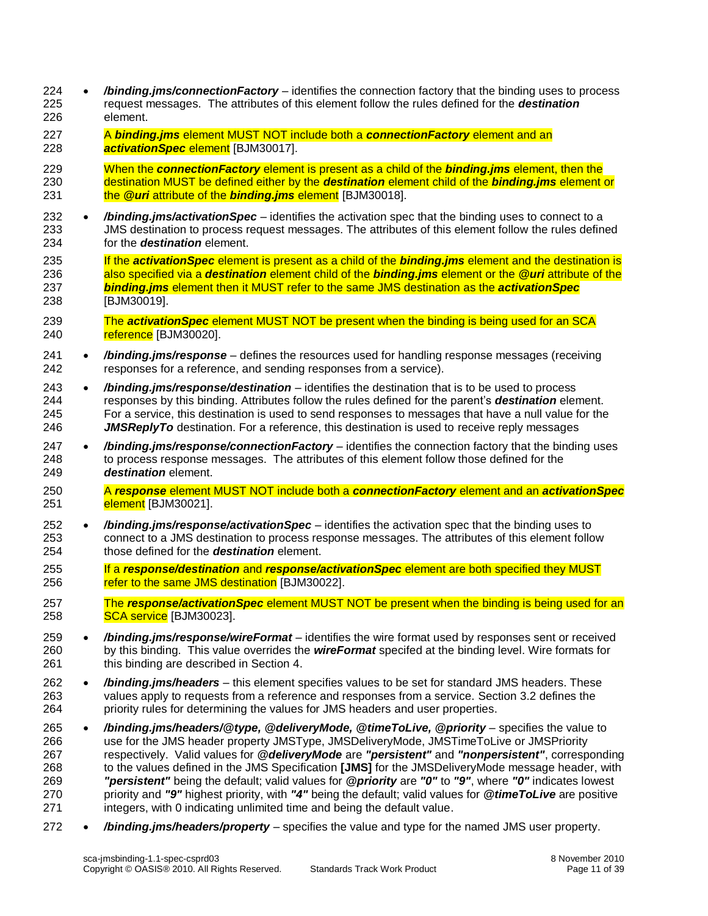- */binding.jms/connectionFactory* identifies the connection factory that the binding uses to process request messages. The attributes of this element follow the rules defined for the *destination* element.
- <span id="page-10-0"></span> A *binding.jms* [element MUST NOT include both a](#page-30-0) *connectionFactory* element and an *[activationSpec](#page-30-0)* element [BJM30017].
- When the *[connectionFactory](#page-30-1)* element is present as a child of the *binding.jms* element, then the [destination MUST be defined either by the](#page-30-1) *destination* element child of the *binding.jms* element or the *@uri* [attribute of the](#page-30-1) *binding.jms* element [BJM30018].
- <span id="page-10-1"></span> */binding.jms/activationSpec* – identifies the activation spec that the binding uses to connect to a JMS destination to process request messages. The attributes of this element follow the rules defined for the *destination* element.
- If the *activationSpec* [element is present as a child of the](#page-30-2) *binding.jms* element and the destination is [also specified via a](#page-30-2) *destination* element child of the *binding.jms* element or the *@uri* attribute of the *binding.jms* element [then it MUST refer to the same JMS destination](#page-30-2) as the *activationSpec* [BJM30019].
- <span id="page-10-3"></span><span id="page-10-2"></span> The *activationSpec* [element MUST NOT be present when the binding is being used for an SCA](#page-30-3)  [reference](#page-30-3) [BJM30020].
- */binding.jms/response* defines the resources used for handling response messages (receiving responses for a reference, and sending responses from a service).
- */binding.jms/response/destination* identifies the destination that is to be used to process responses by this binding. Attributes follow the rules defined for the parent's *destination* element. For a service, this destination is used to send responses to messages that have a null value for the *JMSReplyTo* destination. For a reference, this destination is used to receive reply messages
- */binding.jms/response/connectionFactory* identifies the connection factory that the binding uses to process response messages. The attributes of this element follow those defined for the *destination* element.
- <span id="page-10-4"></span> A *response* [element MUST NOT include both a](#page-30-4) *connectionFactory* element and an *activationSpec* **[element](#page-30-4)** [BJM30021].
- */binding.jms/response/activationSpec* identifies the activation spec that the binding uses to connect to a JMS destination to process response messages. The attributes of this element follow those defined for the *destination* element.
- <span id="page-10-5"></span> If a *response/destination* and *[response/activationSpec](#page-30-5)* element are both specified they MUST [refer to the same JMS destination](#page-30-5) [BJM30022].
- <span id="page-10-6"></span> The *response/activationSpec* [element MUST NOT be present when the binding is being used for an](#page-30-6)  **[SCA service](#page-30-6)** [BJM30023].
- */binding.jms/response/wireFormat* identifies the wire format used by responses sent or received by this binding. This value overrides the *wireFormat* specifed at the binding level. Wire formats for 261 this binding are described in Section [4.](#page-13-0)
- */binding.jms/headers* this element specifies values to be set for standard JMS headers. These values apply to requests from a reference and responses from a service. Sectio[n 3.2](#page-12-1) defines the priority rules for determining the values for JMS headers and user properties.
- */binding.jms/headers/@type, @deliveryMode, @timeToLive, @priority* specifies the value to use for the JMS header property JMSType, JMSDeliveryMode, JMSTimeToLive or JMSPriority respectively. Valid values for *@deliveryMode* are *"persistent"* and *"nonpersistent"*, corresponding to the values defined in the JMS Specification **[\[JMS\]](#page-4-0)** for the JMSDeliveryMode message header, with *"persistent"* being the default; valid values for *@priority* are *"0"* to *"9"*, where *"0"* indicates lowest priority and *"9"* highest priority, with *"4"* being the default; valid values for *@timeToLive* are positive integers, with 0 indicating unlimited time and being the default value.
- */binding.jms/headers/property* specifies the value and type for the named JMS user property.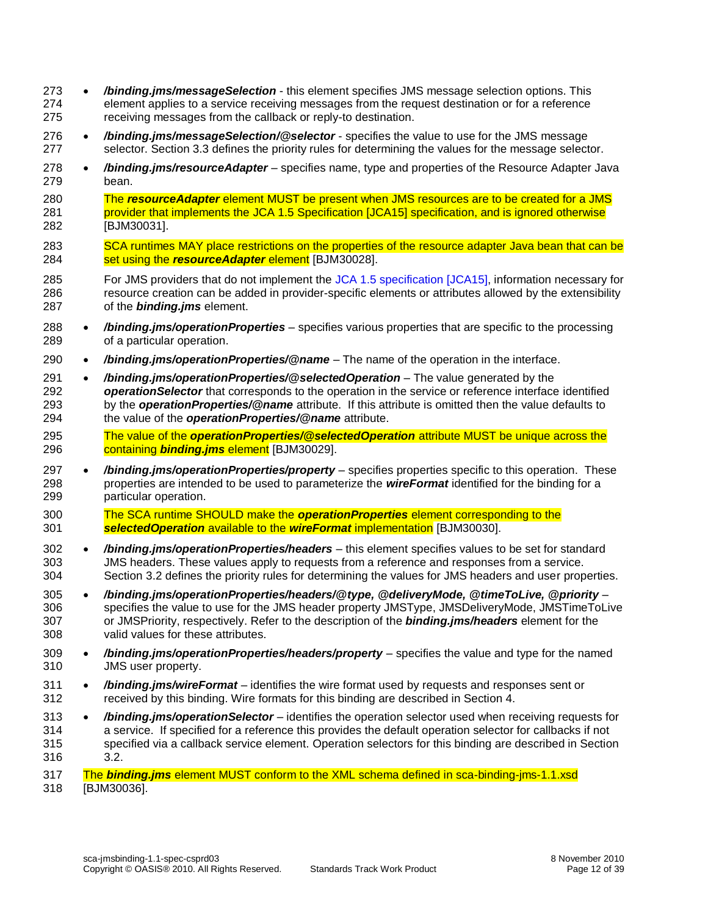- */binding.jms/messageSelection* this element specifies JMS message selection options. This element applies to a service receiving messages from the request destination or for a reference receiving messages from the callback or reply-to destination.
- */binding.jms/messageSelection/@selector* specifies the value to use for the JMS message selector. Sectio[n 3.3](#page-12-2) defines the priority rules for determining the values for the message selector.
- */binding.jms/resourceAdapter* specifies name, type and properties of the Resource Adapter Java bean.

 The *resourceAdapter* [element MUST be present when JMS resources are to be created for a JMS](#page-31-2)  provider that implements the JCA 1.5 Specification [JCA15] [specification, and is ignored otherwise](#page-31-2) [BJM30031].

- <span id="page-11-3"></span><span id="page-11-0"></span>[SCA runtimes MAY place restrictions on the properties of the resource adapter](#page-30-7) Java bean that can be set using the *[resourceAdapter](#page-30-7)* element [BJM30028].
- For JMS providers that do not implement the [JCA 1.5 specification](#page-4-5) [JCA15], information necessary for resource creation can be added in provider-specific elements or attributes allowed by the extensibility of the *binding.jms* element.
- */binding.jms/operationProperties* specifies various properties that are specific to the processing of a particular operation.
- */binding.jms/operationProperties/@name* The name of the operation in the interface.
- */binding.jms/operationProperties/@selectedOperation* The value generated by the
- *operationSelector* that corresponds to the operation in the service or reference interface identified by the *operationProperties/@name* attribute. If this attribute is omitted then the value defaults to the value of the *operationProperties/@name* attribute.
- <span id="page-11-1"></span> The value of the *[operationProperties/@selectedOperation](#page-31-3)* attribute MUST be unique across the containing *[binding.jms](#page-31-3)* element [BJM30029].
- */binding.jms/operationProperties/property* specifies properties specific to this operation. These properties are intended to be used to parameterize the *wireFormat* identified for the binding for a particular operation.
- <span id="page-11-2"></span> [The SCA runtime SHOULD make the](#page-31-4) *operationProperties* element corresponding to the *[selectedOperation](#page-31-4)* available to the *wireFormat* implementation [BJM30030].
- */binding.jms/operationProperties/headers* this element specifies values to be set for standard JMS headers. These values apply to requests from a reference and responses from a service. Section [3.2](#page-12-1) defines the priority rules for determining the values for JMS headers and user properties.
- */binding.jms/operationProperties/headers/@type, @deliveryMode, @timeToLive, @priority* specifies the value to use for the JMS header property JMSType, JMSDeliveryMode, JMSTimeToLive or JMSPriority, respectively. Refer to the description of the *binding.jms/headers* element for the valid values for these attributes.
- */binding.jms/operationProperties/headers/property* specifies the value and type for the named JMS user property.
- */binding.jms/wireFormat* identifies the wire format used by requests and responses sent or received by this binding. Wire formats for this binding are described in Section [4.](#page-13-0)
- */binding.jms/operationSelector* identifies the operation selector used when receiving requests for a service. If specified for a reference this provides the default operation selector for callbacks if not specified via a callback service element. Operation selectors for this binding are described in Section [3.2.](#page-12-1)

<span id="page-11-4"></span> The *binding.jms* [element MUST conform to the XML schema defined in sca-binding-jms-1.1.xsd](#page-31-5) [BJM30036].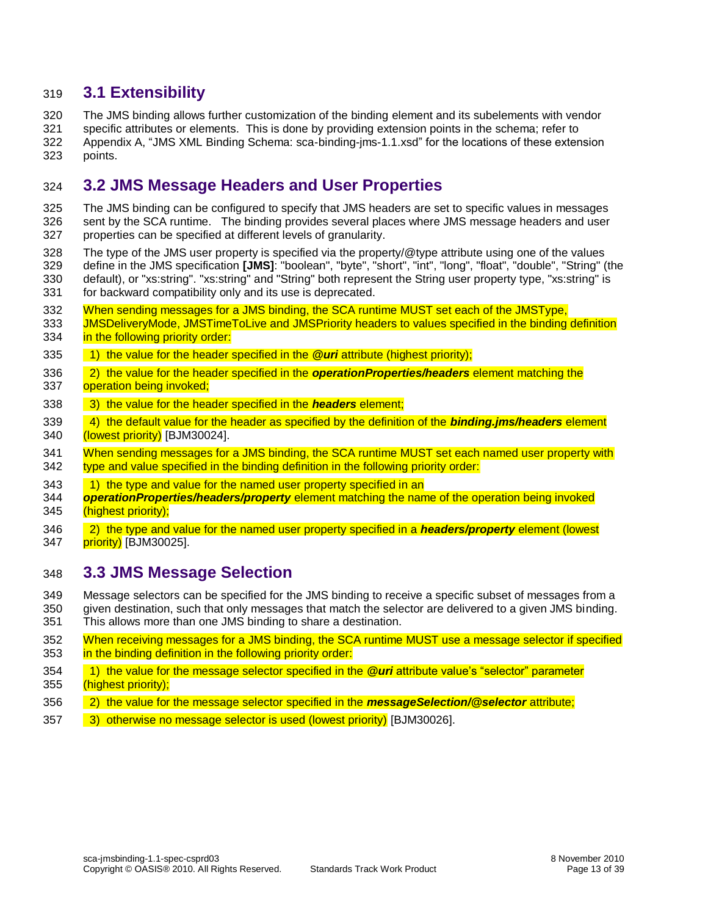#### <span id="page-12-0"></span>**3.1 Extensibility**

 The JMS binding allows further customization of the binding element and its subelements with vendor specific attributes or elements. This is done by providing extension points in the schema; refer to Appendix [A,](#page-25-0) ["JMS XML Binding Schema: sca-binding-jms-1.1.xsd"](#page-25-0) for the locations of these extension points.

### <span id="page-12-1"></span>**3.2 JMS Message Headers and User Properties**

 The JMS binding can be configured to specify that JMS headers are set to specific values in messages sent by the SCA runtime. The binding provides several places where JMS message headers and user properties can be specified at different levels of granularity.

- The type of the JMS user property is specified via the property/@type attribute using one of the values define in the JMS specification **[\[JMS\]](#page-4-0)**: "boolean", "byte", "short", "int", "long", "float", "double", "String" (the default), or "xs:string". "xs:string" and "String" both represent the String user property type, "xs:string" is for backward compatibility only and its use is deprecated.
- [When sending messages for a JMS binding, the SCA runtime MUST set each of the JMSType,](#page-30-8)
- 333 JMSDeliveryMode, JMSTimeToLive and JMSPriority headers to values specified in the binding definition **in the following priority order:**
- [1\) the value for the header specified in the](#page-30-8) *@uri* attribute (highest priority);
- [2\) the value for the header specified in the](#page-30-8) *operationProperties/headers* element matching the [operation being invoked;](#page-30-8)
- [3\) the value for the header specified in the](#page-30-8) *headers* element;
- <span id="page-12-3"></span> [4\) the default value for the header as specified by the definition of the](#page-30-8) *binding.jms/headers* element [\(lowest priority\)](#page-30-8) [BJM30024].
- 341 When sending messages for a JMS binding, the SCA runtime MUST set each named user property with 342 type and value specified in the binding definition in the following priority order:
- 343 1) the type and value for the named user property specified in an
- *operationProperties/headers/property* [element matching the name of the operation being invoked](#page-30-9)  [\(highest priority\);](#page-30-9)
- <span id="page-12-4"></span> [2\) the type and value for the named user property specified in a](#page-30-9) *headers/property* element (lowest **priority** [BJM30025].

#### <span id="page-12-2"></span>**3.3 JMS Message Selection**

 Message selectors can be specified for the JMS binding to receive a specific subset of messages from a given destination, such that only messages that match the selector are delivered to a given JMS binding.

- This allows more than one JMS binding to share a destination.
- [When receiving messages for a JMS binding, the SCA runtime MUST use a message selector if specified](#page-30-10)  [in the binding definition in the following priority order:](#page-30-10)
- [1\) the value for the message selector specified in the](#page-30-10) *@uri* attribute value's "selector" parameter [\(highest priority\);](#page-30-10)
- [2\) the value for the message selector specified in the](#page-30-10) *messageSelection/@selector* attribute;
- <span id="page-12-5"></span> [3\) otherwise no message selector is used \(lowest priority\)](#page-30-10) [BJM30026].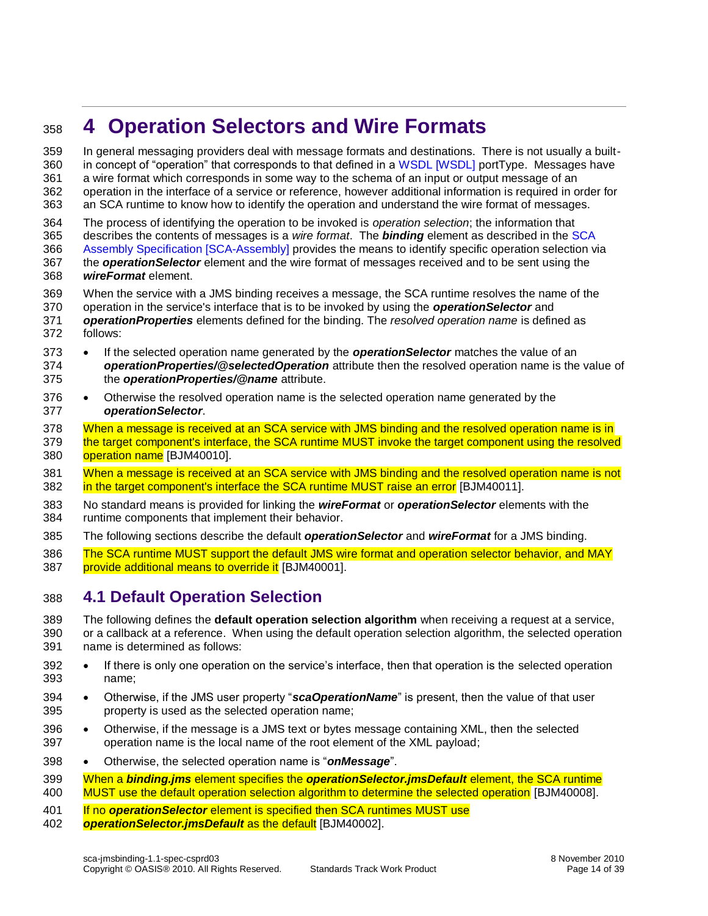# <span id="page-13-0"></span>**4 Operation Selectors and Wire Formats**

 In general messaging providers deal with message formats and destinations. There is not usually a built- in concept of "operation" that corresponds to that defined in a [WSDL \[WSDL\]](#page-4-6) portType. Messages have a wire format which corresponds in some way to the schema of an input or output message of an operation in the interface of a service or reference, however additional information is required in order for an SCA runtime to know how to identify the operation and understand the wire format of messages.

 The process of identifying the operation to be invoked is *operation selection*; the information that describes the contents of messages is a *wire format*. The *binding* element as described in the [SCA](#page-5-0)  [Assembly Specification \[SCA-Assembly\]](#page-5-0) provides the means to identify specific operation selection via the *operationSelector* element and the wire format of messages received and to be sent using the *wireFormat* element.

- When the service with a JMS binding receives a message, the SCA runtime resolves the name of the
- operation in the service's interface that is to be invoked by using the *operationSelector* and
- *operationProperties* elements defined for the binding. The *resolved operation name* is defined as follows:
- 373 If the selected operation name generated by the **operationSelector** matches the value of an *operationProperties/@selectedOperation* attribute then the resolved operation name is the value of the *operationProperties/@name* attribute.
- 376 Otherwise the resolved operation name is the selected operation name generated by the *operationSelector*.
- 378 When a message is received at an SCA service with JMS binding and the resolved operation name is in 379 the target component's interface, the SCA runtime MUST invoke the target component using the resolved [operation name](#page-31-6) [BJM40010].
- <span id="page-13-6"></span><span id="page-13-5"></span> [When a message is received at an SCA service with JMS binding and the resolved operation name is not](#page-31-7)  [in the target component's interface the SCA runtime MUST raise an error](#page-31-7) [BJM40011].
- No standard means is provided for linking the *wireFormat* or *operationSelector* elements with the runtime components that implement their behavior.
- The following sections describe the default *operationSelector* and *wireFormat* for a JMS binding.
- <span id="page-13-2"></span>386 The SCA runtime MUST support the default JMS wire format and operation selector behavior, and MAY [provide additional means to override it](#page-31-8) [BJM40001].

### <span id="page-13-1"></span>**4.1 Default Operation Selection**

 The following defines the **default operation selection algorithm** when receiving a request at a service, or a callback at a reference. When using the default operation selection algorithm, the selected operation name is determined as follows:

- 392 If there is only one operation on the service's interface, then that operation is the selected operation name;
- **•** Otherwise, if the JMS user property "*scaOperationName*" is present, then the value of that user property is used as the selected operation name;
- Otherwise, if the message is a JMS text or bytes message containing XML, then the selected operation name is the local name of the root element of the XML payload;
- Otherwise, the selected operation name is "*onMessage*".
- <span id="page-13-4"></span> When a *binding.jms* element specifies the *[operationSelector.jmsDefault](#page-31-9)* element, the SCA runtime [MUST use the default operation selection algorithm to determine the selected operation](#page-31-9) [BJM40008].
- If no *operationSelector* [element is specified then SCA runtimes MUST use](#page-31-10)
- <span id="page-13-3"></span>*[operationSelector.jmsDefault](#page-31-10)* as the default [BJM40002].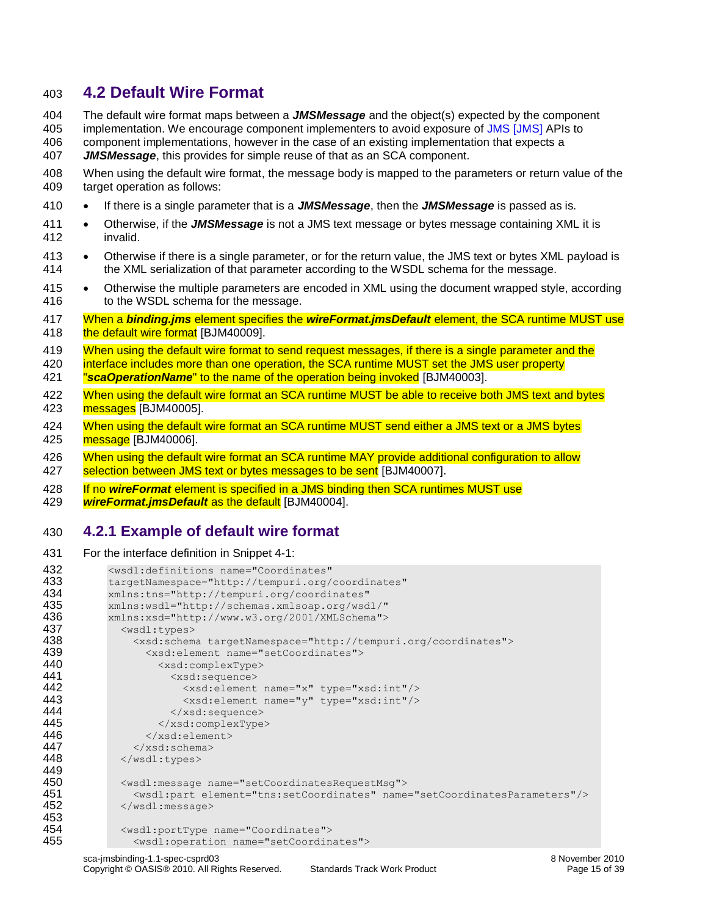#### <span id="page-14-0"></span>403 **4.2 Default Wire Format**

404 The default wire format maps between a *JMSMessage* and the object(s) expected by the component

405 implementation. We encourage component implementers to avoid exposure of JMS [\[JMS\]](#page-4-0) APIs to 406 component implementations, however in the case of an existing implementation that expects a

407 *JMSMessage*, this provides for simple reuse of that as an SCA component.

- 408 When using the default wire format, the message body is mapped to the parameters or return value of the 409 target operation as follows:
- 410 If there is a single parameter that is a *JMSMessage*, then the *JMSMessage* is passed as is.
- 411 Otherwise, if the *JMSMessage* is not a JMS text message or bytes message containing XML it is 412 invalid.
- 413 Otherwise if there is a single parameter, or for the return value, the JMS text or bytes XML payload is 414 the XML serialization of that parameter according to the WSDL schema for the message.
- 415 Otherwise the multiple parameters are encoded in XML using the document wrapped style, according 416 to the WSDL schema for the message.
- <span id="page-14-7"></span>417 When a *binding.jms* element specifies the *wireFormat.jmsDefault* [element, the SCA runtime MUST use](#page-31-11)  418 [the default wire format](#page-31-11) [BJM40009].
- 419 When using the default wire format to send request messages, if there is a single parameter and the
- 420 interface includes more than one operation, the SCA runtime MUST set the JMS user property 421 "*scaOperationName*[" to the name of the operation being invoked](#page-31-12) [BJM40003].
- <span id="page-14-4"></span><span id="page-14-2"></span>422 When using the default wire format an SCA runtime MUST be able to receive both JMS text and bytes 423 [messages](#page-31-13) [BJM40005].
- <span id="page-14-5"></span>424 When using the default wire format an SCA runtime MUST send either a JMS text or a JMS bytes 425 [message](#page-31-14) [BJM40006].
- <span id="page-14-6"></span>426 When using the default wire format an SCA runtime MAY provide additional configuration to allow 427 [selection between JMS text or bytes messages to be sent](#page-31-15) [BJM40007].
- 428 If no *wireFormat* [element is specified in a JMS binding then SCA runtimes MUST use](#page-31-16)
- <span id="page-14-3"></span>429 *[wireFormat.jmsDefault](#page-31-16)* as the default [BJM40004].

#### <span id="page-14-1"></span>430 **4.2.1 Example of default wire format**

```
431 For the interface definition in Snippet 4-1:
```

```
432 <wsdl:definitions name="Coordinates"<br>433 targetNamespace="http://tempuri.org/
433 targetNamespace="http://tempuri.org/coordinates"<br>434 mlns:tns="http://tempuri.org/coordinates"
434 xmlns:tns="http://tempuri.org/coordinates" 
435 xmlns:wsdl="http://schemas.xmlsoap.org/wsdl/" 
436 xmlns:xsd="http://www.w3.org/2001/XMLSchema"><br>437 <wsdl:types>
               <wsdl:types>
438 <xsd:schema targetNamespace="http://tempuri.org/coordinates"> 
439 \langle xsd:element \ name="setCoordinates" ><br>440 \langle xsd:complexTwo>440 <xsd:complexType><br>441 <xsd:sequence>
441 <xsd:sequence> 
442 <xsd:element name="x" type="xsd:int"/><br>443 <xsd:element name="v" type="xsd:int"/>
443 <xsd:element name="y" type="xsd:int"/><br>444 </xsd:sequence>
444 </xsd:sequence><br>445 </xsd:complexType
                      445 </xsd:complexType> 
446 </xsd:element> 
447 \langle xsd:schema\rangle<br>448 \langle wsd1:types\rangle</wsdl:types>
449<br>450
450 <wsdl:message name="setCoordinatesRequestMsg"><br>451 <wsdl:part element="tns:setCoordinates" name
                 451 <wsdl:part element="tns:setCoordinates" name="setCoordinatesParameters"/> 
452 </wsdl:message> 
453<br>454
454 <wsdl:portType name="Coordinates"> 
                 455 <wsdl:operation name="setCoordinates">
```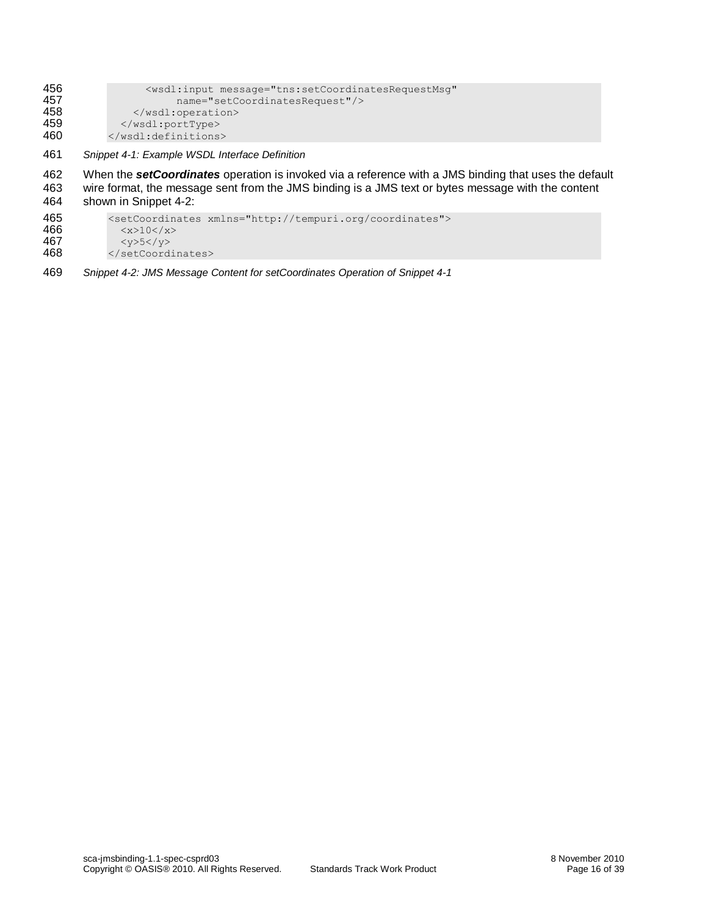| 456 | <wsdl:input <="" message="tns:setCoordinatesRequestMsq" th=""></wsdl:input> |
|-----|-----------------------------------------------------------------------------|
| 457 | name="setCoordinatesRequest"/>                                              |
| 458 | $\langle$ /wsdl:operation>                                                  |
| 459 |                                                                             |
| 460 |                                                                             |
|     |                                                                             |

<span id="page-15-0"></span>461 *Snippet 4-1: Example WSDL Interface Definition*

462 When the **setCoordinates** operation is invoked via a reference with a JMS binding that uses the default 463 wire format, the message sent from the JMS binding is a JMS text or bytes message with the content wire format, the message sent from the JMS binding is a JMS text or bytes message with the content 464 shown in [Snippet 4-2:](#page-15-1)

```
465 <setCoordinates xmlns="http://tempuri.org/coordinates"><br>466 < < x>10</ x>
466 \xi_{x>10<}/x><br>467 \xi_{y>5<}/y>467 \langle y \rangle5</y>468 \langle y \ranglesetCoord
                468 </setCoordinates>
```
<span id="page-15-1"></span>469 *Snippet 4-2: JMS Message Content for setCoordinates Operation o[f Snippet 4-1](#page-15-0)*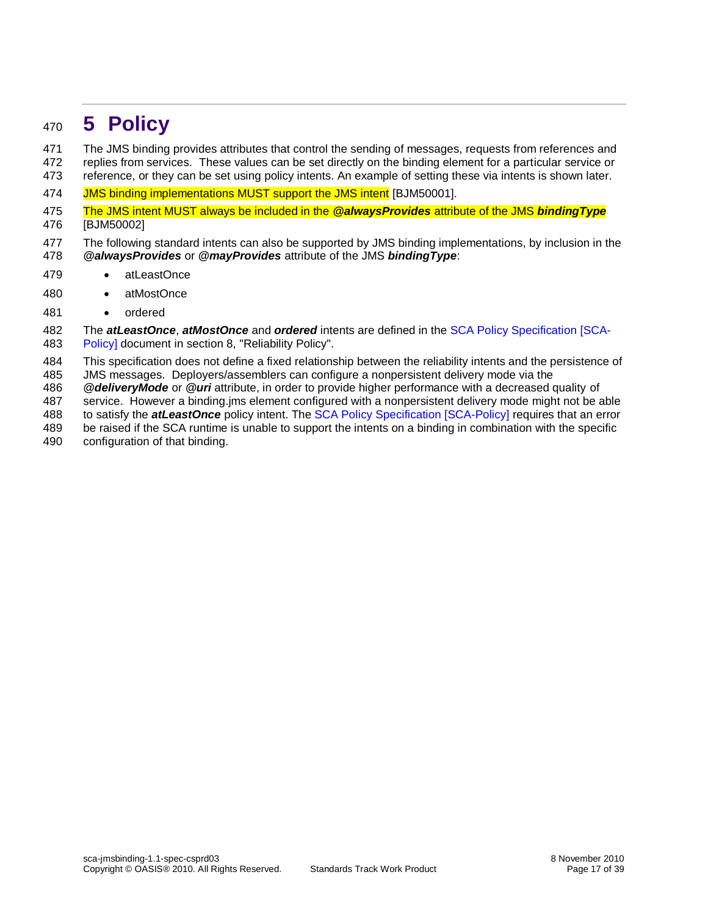### <span id="page-16-0"></span>**5 Policy**

 The JMS binding provides attributes that control the sending of messages, requests from references and replies from services. These values can be set directly on the binding element for a particular service or reference, or they can be set using policy intents. An example of setting these via intents is shown later.

- <span id="page-16-1"></span>[JMS binding implementations MUST support the JMS intent](#page-32-0) [BJM50001].
- <span id="page-16-2"></span> [The JMS intent MUST always be included in the](#page-32-1) *@alwaysProvides* attribute of the JMS *bindingType* [BJM50002]
- The following standard intents can also be supported by JMS binding implementations, by inclusion in the *@alwaysProvides* or *@mayProvides* attribute of the JMS *bindingType*:
- 479 · atLeastOnce
- 480 · atMostOnce
- ordered
- The *atLeastOnce*, *atMostOnce* and *ordered* intents are defined in the [SCA Policy Specification \[SCA-](#page-5-3)[Policy\]](#page-5-3) document in section 8, "Reliability Policy".
- This specification does not define a fixed relationship between the reliability intents and the persistence of
- JMS messages. Deployers/assemblers can configure a nonpersistent delivery mode via the
- *@deliveryMode* or *@uri* attribute, in order to provide higher performance with a decreased quality of
- service. However a binding.jms element configured with a nonpersistent delivery mode might not be able to satisfy the *atLeastOnce* policy intent. The [SCA Policy Specification \[SCA-Policy\]](#page-5-3) requires that an error
- be raised if the SCA runtime is unable to support the intents on a binding in combination with the specific
- configuration of that binding.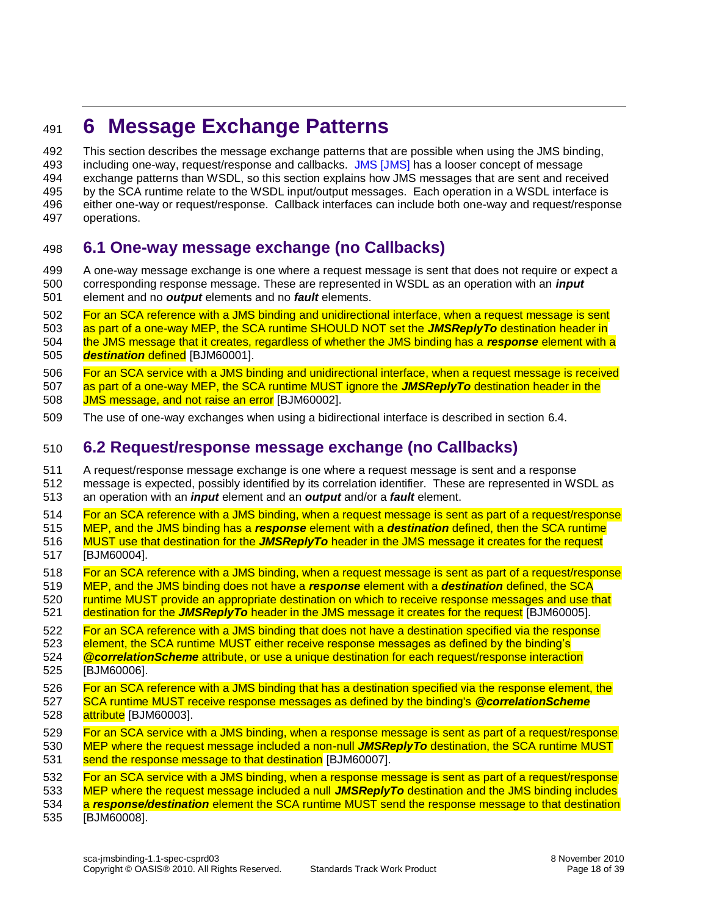## <span id="page-17-0"></span>**6 Message Exchange Patterns**

 This section describes the message exchange patterns that are possible when using the JMS binding, including one-way, request/response and callbacks. [JMS \[JMS\]](#page-4-0) has a looser concept of message exchange patterns than WSDL, so this section explains how JMS messages that are sent and received by the SCA runtime relate to the WSDL input/output messages. Each operation in a WSDL interface is either one-way or request/response. Callback interfaces can include both one-way and request/response operations.

### <span id="page-17-1"></span>**6.1 One-way message exchange (no Callbacks)**

 A one-way message exchange is one where a request message is sent that does not require or expect a corresponding response message. These are represented in WSDL as an operation with an *input* element and no *output* elements and no *fault* elements.

 For an SCA reference with a JMS binding [and unidirectional interface, when a request message is sent](#page-32-2)  [as part of a one-way MEP, the SCA runtime SHOULD NOT set the](#page-32-2) *JMSReplyTo* destination header in [the JMS message that it creates, regardless of whether the JMS binding has a](#page-32-2) *response* element with a *[destination](#page-32-2)* defined [BJM60001].

<span id="page-17-3"></span> For an SCA service with a JMS binding [and unidirectional interface, when a request message is received](#page-32-3)  [as part of a one-way MEP, the SCA runtime MUST ignore the](#page-32-3) *JMSReplyTo* destination header in the

- <span id="page-17-4"></span>[JMS message, and not](#page-32-3) raise an error [BJM60002].
- The use of one-way exchanges when using a bidirectional interface is described in section [6.4.](#page-18-1)

### <span id="page-17-2"></span>**6.2 Request/response message exchange (no Callbacks)**

 A request/response message exchange is one where a request message is sent and a response message is expected, possibly identified by its correlation identifier. These are represented in WSDL as an operation with an *input* element and an *output* and/or a *fault* element.

 [For an SCA reference with a JMS binding, when a request message is sent as part of a request/response](#page-32-4)  [MEP, and the JMS binding has a](#page-32-4) *response* element with a *destination* defined, then the SCA runtime MUST use that destination for the *JMSReplyTo* [header in the JMS message it creates for the request](#page-32-4) [BJM60004].

- <span id="page-17-6"></span>518 For an SCA reference with a JMS binding, when a request message is sent as part of a request/response
- [MEP, and the JMS binding does not have a](#page-32-5) *response* element with a *destination* defined, the SCA
- <span id="page-17-7"></span>520 runtime MUST provide an appropriate destination on which to receive response messages and use that
- destination for the *JMSReplyTo* [header in the JMS message it creates for the request](#page-32-5) [BJM60005].

 For an SCA reference with a JMS binding [that does not have a destination specified via the response](#page-32-6)  element, the SCA runtime MUST either [receive response messages as defined by the binding's](#page-32-6)  *@correlationScheme* [attribute, or use a unique destination for each request/response interaction](#page-32-6)

- <span id="page-17-8"></span>[BJM60006].
- [For an SCA reference with a JMS binding that has a destination specified via the response element, the](#page-32-7)  [SCA runtime MUST receive response messages as defined by the binding's](#page-32-7) *@correlationScheme*
- [attribute](#page-32-7) [BJM60003].
- <span id="page-17-5"></span> [For an SCA service with a JMS binding, when a response message is sent as part of a request/response](#page-32-8)  [MEP where the request message included a non-null](#page-32-8) *JMSReplyTo* destination, the SCA runtime MUST [send the response message to that destination](#page-32-8) [BJM60007].

<span id="page-17-9"></span> [For an SCA service with a JMS binding, when a response message is sent as part of a request/response](#page-32-9)  [MEP where the request message included a null](#page-32-9) *JMSReplyTo* destination and the JMS binding includes a *response/destination* [element the SCA runtime MUST send the response message to that destination](#page-32-9)

<span id="page-17-10"></span>[BJM60008].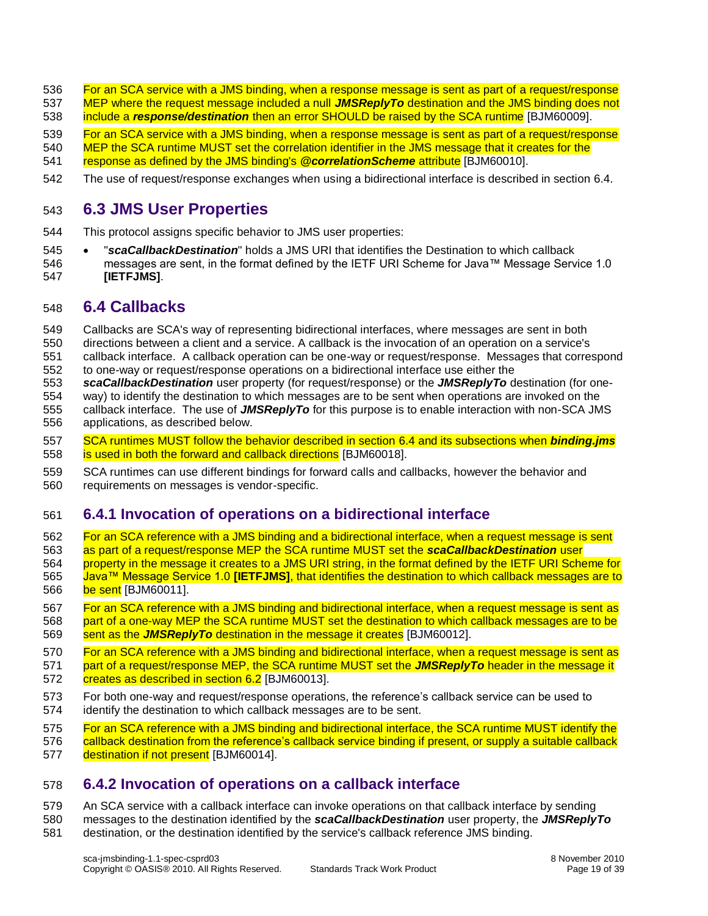- [For an SCA service with a JMS binding, when a response message is sent as part of](#page-32-10) a request/response [MEP where the request message included a null](#page-32-10) *JMSReplyTo* destination and the JMS binding does not
- include a *response/destination* [then an error SHOULD be raised by the SCA runtime](#page-32-10) [BJM60009].
- <span id="page-18-4"></span> [For an SCA service with a JMS binding, when a response message is sent as part of a request/response](#page-32-11)  [MEP the SCA runtime MUST set the correlation identifier in the JMS message that it creates for the](#page-32-11)
- [response as defined by the JMS binding's](#page-32-11) *@correlationScheme* attribute [BJM60010].
- <span id="page-18-5"></span>The use of request/response exchanges when using a bidirectional interface is described in section [6.4.](#page-18-1)

### <span id="page-18-0"></span>**6.3 JMS User Properties**

- This protocol assigns specific behavior to JMS user properties:
- "*scaCallbackDestination*" holds a JMS URI that identifies the Destination to which callback messages are sent, in the format defined by the IETF URI Scheme for Java™ Message Service 1.0 **[\[IETFJMS\]](#page-5-4)**.

#### <span id="page-18-1"></span>**6.4 Callbacks**

- Callbacks are SCA's way of representing bidirectional interfaces, where messages are sent in both
- directions between a client and a service. A callback is the invocation of an operation on a service's
- callback interface. A callback operation can be one-way or request/response. Messages that correspond to one-way or request/response operations on a bidirectional interface use either the
- *scaCallbackDestination* user property (for request/response) or the *JMSReplyTo* destination (for one-
- way) to identify the destination to which messages are to be sent when operations are invoked on the
- callback interface. The use of *JMSReplyTo* for this purpose is to enable interaction with non-SCA JMS applications, as described below.
- [SCA runtimes MUST follow the behavior described in section 6.4](#page-33-0) and its subsections when *binding.jms* [is used in both the forward and callback directions](#page-33-0) [BJM60018].
- <span id="page-18-10"></span> SCA runtimes can use different bindings for forward calls and callbacks, however the behavior and requirements on messages is vendor-specific.

### <span id="page-18-2"></span>**6.4.1 Invocation of operations on a bidirectional interface**

- [For an SCA reference with a JMS binding and a bidirectional interface, when a request message is sent](#page-33-1) [as part of a request/response MEP](#page-33-1) the SCA runtime MUST set the *scaCallbackDestination* user [property in the message it creates to a JMS URI string, in the format defined by the IETF URI Scheme for](#page-33-1)  Java™ Message Service 1.0 **[IETFJMS]**[, that identifies the destination to which callback messages are to](#page-33-1)  [be sent](#page-33-1) [BJM60011].
- <span id="page-18-6"></span> [For an SCA reference with a JMS binding and bidirectional interface, when a request message is sent as](#page-33-2)  [part of a one-way MEP the SCA runtime MUST set the](#page-33-2) destination to which callback messages are to be
- 569 sent as the **JMSReplyTo** destination [in the message it creates](#page-33-2) [BJM60012].
- <span id="page-18-7"></span> [For an SCA reference with a JMS binding and bidirectional interface, when a request message is sent as](#page-33-3)  part of [a request/response MEP, the SCA runtime MUST set the](#page-33-3) *JMSReplyTo* header in the message it [creates as described in section 6.2](#page-33-3) [BJM60013].
- <span id="page-18-8"></span> For both one-way and request/response operations, the reference's callback service can be used to identify the destination to which callback messages are to be sent.
- [For an SCA reference with a JMS binding and bidirectional interface, the SCA runtime MUST identify the](#page-33-4)
- 576 callback destination from the reference's callback service binding if present, or supply a suitable callback [destination if not present](#page-33-4) [BJM60014].
- <span id="page-18-9"></span><span id="page-18-3"></span>**6.4.2 Invocation of operations on a callback interface**
- An SCA service with a callback interface can invoke operations on that callback interface by sending messages to the destination identified by the *scaCallbackDestination* user property, the *JMSReplyTo*
- destination, or the destination identified by the service's callback reference JMS binding.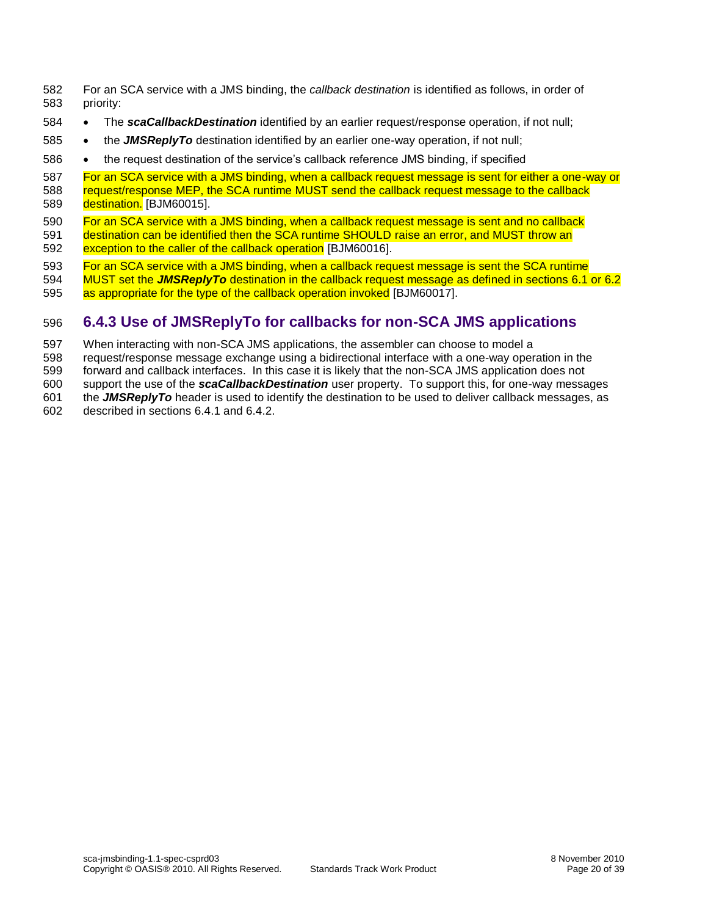For an SCA service with a JMS binding, the *callback destination* is identified as follows, in order of priority:

- **•** The **scaCallbackDestination** identified by an earlier request/response operation, if not null;
- **•** the *JMSReplyTo* destination identified by an earlier one-way operation, if not null;
- 586 the request destination of the service's callback reference JMS binding, if specified

 [For an SCA service with a JMS binding, when a callback request message is sent for either a one-way or](#page-33-5)  588 request/response MEP, the SCA runtime MUST send the callback request message to the callback [destination.](#page-33-5) [BJM60015].

<span id="page-19-1"></span>590 For an SCA service with a JMS binding, when a callback request message is sent and no callback

<span id="page-19-2"></span> [destination can be identified then the SCA runtime SHOULD](#page-33-6) raise an error, and MUST throw an [exception to the caller of the callback operation](#page-33-6) [BJM60016].

- 
- 593 For an SCA service with a JMS binding, when a callback request message is sent the SCA runtime<br>594 MUST set the JMSReplyTo destination in the callback request message as defined in sections 6.1 MUST set the *JMSReplyTo* [destination in the callback request message as defined in sections 6.1](#page-33-7) or 6.2
- <span id="page-19-3"></span>[as appropriate for the type of the callback operation invoked](#page-33-7) [BJM60017].

#### <span id="page-19-0"></span>**6.4.3 Use of JMSReplyTo for callbacks for non-SCA JMS applications**

When interacting with non-SCA JMS applications, the assembler can choose to model a

request/response message exchange using a bidirectional interface with a one-way operation in the

forward and callback interfaces. In this case it is likely that the non-SCA JMS application does not

support the use of the *scaCallbackDestination* user property. To support this, for one-way messages

the *JMSReplyTo* header is used to identify the destination to be used to deliver callback messages, as

described in sections [6.4.1](#page-18-2) an[d 6.4.2.](#page-18-3)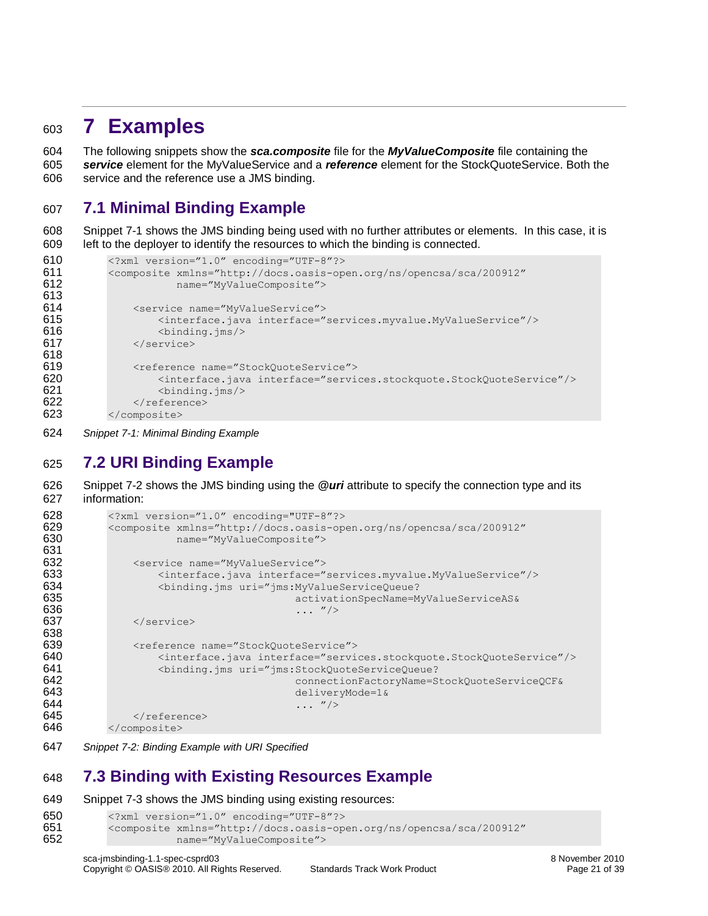### <span id="page-20-0"></span>**7 Examples**

 The following snippets show the *sca.composite* file for the *MyValueComposite* file containing the *service* element for the MyValueService and a *reference* element for the StockQuoteService. Both the service and the reference use a JMS binding.

### <span id="page-20-1"></span>**7.1 Minimal Binding Example**

 [Snippet 7-1](#page-20-4) shows the JMS binding being used with no further attributes or elements. In this case, it is left to the deployer to identify the resources to which the binding is connected.

```
610 <?xml version="1.0" encoding="UTF-8"?><br>611 <composite xmlns="http://docs.oasis-op
             611 <composite xmlns="http://docs.oasis-open.org/ns/opencsa/sca/200912"
612 name="MyValueComposite">
613
614 <service name="MyValueService">
615 <interface.java interface="services.myvalue.MyValueService"/>
616 <br />
\frac{1}{5} <br />
\frac{1}{5} <br />
\frac{1}{5} <br />
\frac{1}{5} <br />
\frac{1}{5} <br />
\frac{1}{5} <br />
\frac{1}{5} <br />
\frac{1}{5} <br />
\frac{1}{5} <br />
\frac{1}{5} <br />
\frac{1}{5} <br />
\frac{1}{5} <br />
\frac{1}{5617 </service>
618
619 <reference name="StockQuoteService">
620 <interface.java interface="services.stockquote.StockQuoteService"/>
621 <binding.jms/>
622 \langle /reference>
623 </composite>
```
<span id="page-20-4"></span>*Snippet 7-1: Minimal Binding Example*

### <span id="page-20-2"></span>**7.2 URI Binding Example**

 [Snippet 7-2](#page-20-5) shows the JMS binding using the *@uri* attribute to specify the connection type and its information:

```
628 <?xml version="1.0" encoding="UTF-8"?><br>629 <composite xmlns="http://docs.oasis-op
            629 <composite xmlns="http://docs.oasis-open.org/ns/opencsa/sca/200912"
630 name="MyValueComposite">
631
632 <service name="MyValueService">
633 <interface.java interface="services.myvalue.MyValueService"/>
                     634 <binding.jms uri="jms:MyValueServiceQueue?
635 activationSpecName=MyValueServiceAS&<br>636 activationSpecName=MyValueServiceAS&
                                              \cdots "/>
637 </service>
638
639 <reference name="StockQuoteService">
640 <interface.java interface="services.stockquote.StockQuoteService"/><br>641 <br />
<br />
<br />
<br />
<br />
<br />
<br />
<br />
<br />
<br />
<br />
<br />
<br />
<br />
<br />
<br />
<br />
<br />
<br />
<br />
<br />
                     641 <binding.jms uri="jms:StockQuoteServiceQueue?
642 connectionFactoryName=StockQuoteServiceQCF&
643 deliveryMode=1&<br>644 deliveryMode=1&<br>\ldots "/>
644 ... "/><br>645 ... </reference>
645 \le/reference><br>646 \le/composite>
           646 </composite>
```
<span id="page-20-5"></span>*Snippet 7-2: Binding Example with URI Specified*

### <span id="page-20-3"></span>**7.3 Binding with Existing Resources Example**

[Snippet 7-3](#page-21-2) shows the JMS binding using existing resources:

```
650 <?xml version="1.0" encoding="UTF-8"?><br>651 <composite xmlns="http://docs.oasis-op
            651 <composite xmlns="http://docs.oasis-open.org/ns/opencsa/sca/200912"
652 name="MyValueComposite">
```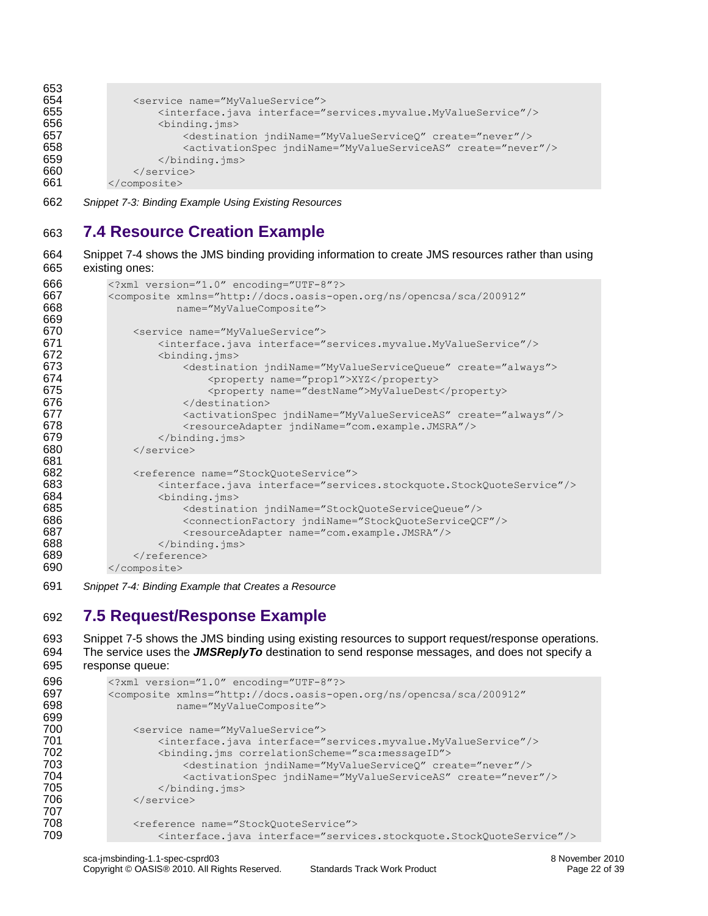```
653
654 <service name="MyValueService">
655 <interface.java interface="services.myvalue.MyValueService"/>
656 <br />
\leqbinding.jms>
657 <destination jndiName="MyValueServiceQ" create="never"/><br>658 <activationSpec indiName="MyValueServiceAS" create="neve
                        658 <activationSpec jndiName="MyValueServiceAS" create="never"/>
659 </binding.jms><br>660 </service>
660 </service><br>661 </composite>
           </composite>
```
<span id="page-21-2"></span>662 *Snippet 7-3: Binding Example Using Existing Resources*

### <span id="page-21-0"></span>663 **7.4 Resource Creation Example**

664 [Snippet 7-4](#page-21-3) shows the JMS binding providing information to create JMS resources rather than using 665 existing ones:

```
666 <?xml version="1.0" encoding="UTF-8"?>
667 <composite xmlns="http://docs.oasis-open.org/ns/opencsa/sca/200912"
                       668 name="MyValueComposite">
669<br>670
670 <service name="MyValueService"><br>671 <interface.java interface="
671 <interface.java interface="services.myvalue.MyValueService"/>
672 <binding.jms><br>673 <estinat
                        673 <destination jndiName="MyValueServiceQueue" create="always">
674 <property name="prop1">XYZ</property><br>675 <br/></broperty name="destName">MyValueDest
                            675 <property name="destName">MyValueDest</property>
676 </destination>
677 <activationSpec jndiName="MyValueServiceAS" create="always"/>
678 <resourceAdapter jndiName="com.example.JMSRA"/><br>679 </binding.jms>
679 </binding.jms><br>680 </service>
               680 </service>
681
682 <reference name="StockQuoteService"><br>683 <interface.java interface="servi
683 <interface.java interface="services.stockquote.StockQuoteService"/><br>684 <br/>>>>>>>>>>
684 <binding.jms><br>685 <a>>><a>><destinat</a>
                        685 <destination jndiName="StockQuoteServiceQueue"/>
686 <connectionFactory jndiName="StockQuoteServiceQCF"/>
687 <resourceAdapter name="com.example.JMSRA"/><br>688 </binding.ims>
                    </binding.jms>
689 \langle/reference><br>690 \langle/composite>
           </composite>
```
<span id="page-21-3"></span>691 *Snippet 7-4: Binding Example that Creates a Resource*

### <span id="page-21-1"></span>692 **7.5 Request/Response Example**

```
693 Snippet 7-5 shows the JMS binding using existing resources to support request/response operations. 
694 The service uses the JMSReplyTo destination to send response messages, and does not specify a 
695 response queue:
```

```
696 <?xml version="1.0" encoding="UTF-8"?><br>697 <composite xmlns="http://docs.oasis-ope
697 <composite xmlns="http://docs.oasis-open.org/ns/opencsa/sca/200912"
                        name="MyValueComposite">
699
700 <service name="MyValueService">
701 <interface.java interface="services.myvalue.MyValueService"/>
702 <binding.jms correlationScheme="sca:messageID">
703 <destination jndiName="MyValueServiceQ" create="never"/><br>704 <activationSpec indiName="MyValueServiceAS" create="neve
704 <activationSpec jndiName="MyValueServiceAS" create="never"/><br>705 </binding.ims>
705 </binding.jms><br>706 </service>
                </service>
707
708 <reference name="StockQuoteService"><br>709 <interface.java_interface="servi
                    709 <interface.java interface="services.stockquote.StockQuoteService"/>
```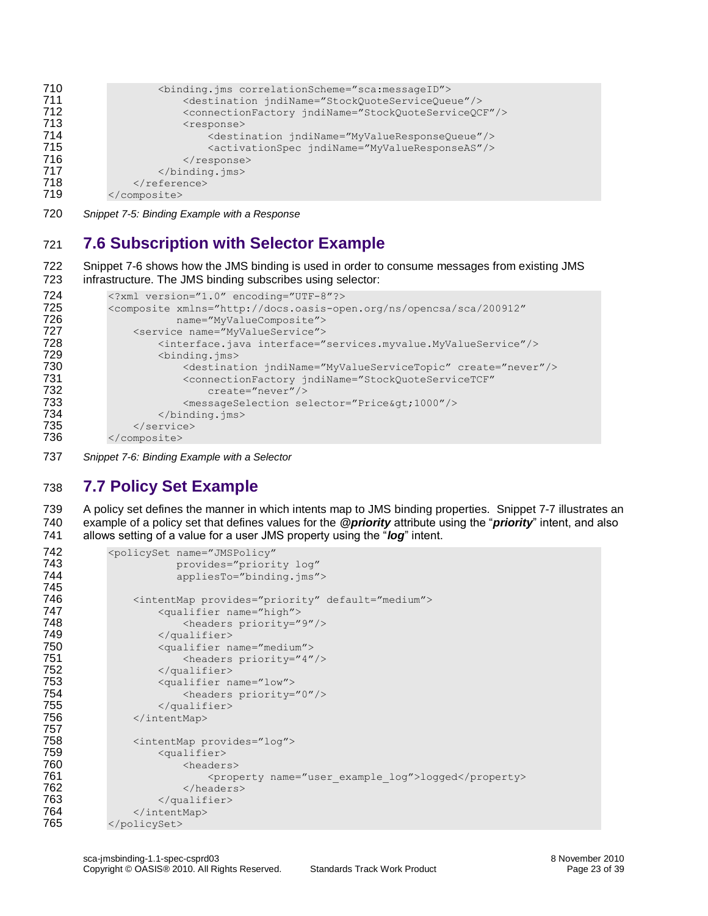```
710 <binding.jms correlationScheme="sca:messageID">
711 <destination jndiName="StockQuoteServiceQueue"/>
712 <connectionFactory jndiName="StockQuoteServiceQCF"/>
713 <response>
714 <destination jndiName="MyValueResponseQueue"/>
                    715 <activationSpec jndiName="MyValueResponseAS"/>
716 </response>
717 </binding.jms><br>718 </reference>
           </reference>
719 </composite>
```
<span id="page-22-2"></span>720 *Snippet 7-5: Binding Example with a Response*

### <span id="page-22-0"></span>721 **7.6 Subscription with Selector Example**

722 [Snippet 7-6](#page-22-3) shows how the JMS binding is used in order to consume messages from existing JMS 723 infrastructure. The JMS binding subscribes using selector:

```
724 <?xml version="1.0" encoding="UTF-8"?>
725 <composite xmlns="http://docs.oasis-open.org/ns/opencsa/sca/200912"
726 name="MyValueComposite">
727 <service name="MyValueService"><br>728 <interface.iava interface="
728 <interface.java interface="services.myvalue.MyValueService"/>
729 <binding.jms> 
                    730 <destination jndiName="MyValueServiceTopic" create="never"/> 
731 <connectionFactory jndiName="StockQuoteServiceTCF"
732 create="never"/> 
733 <messageSelection selector="Price&qt;1000"/>
734 </binding.jms><br>735 </service>
735 </service><br>736 </composite>
         </composite>
```
<span id="page-22-3"></span>737 *Snippet 7-6: Binding Example with a Selector*

### <span id="page-22-1"></span>738 **7.7 Policy Set Example**

739 A policy set defines the manner in which intents map to JMS binding properties. [Snippet 7-7](#page-23-0) illustrates an 740 example of a policy set that defines values for the *@priority* attribute using the "*priority*" intent, and also 741 allows setting of a value for a user JMS property using the "*log*" intent.

```
742 <policySet name="JMSPolicy"
743 provides="priority log"
                        appliesTo="binding.jms">
745
746 <intentMap provides="priority" default="medium"><br>747 < squalifier name="high">
747 <qualifier name="high">
748 <headers priority="9"/><br>749 </qualifier>
                    749 </qualifier>
750 <qualifier name="medium">
751 <headers priority="4"/>
752 </qualifier><br>753 <a>a> <a>
753 <qualifier name="low">
754 <headers priority="0"/><br>755 </aualifier>
755 </qualifier><br>756 </arr />
756 </arr />
756 </arr />
756 </arr />
756 </arr />
756 </arr />
756 </arr />
756 </arr />
757 </arr />
758 </arr />
758 </arr />
758 </arr />
758 </arr />
758 </arr />
758 </arr />
758 </arr 
                756 </intentMap>
757
758 <intentMap provides="log">
759 <qualifier>
760 <headers>
761 <property name="user_example_log">logged</property><br>762 </headers>
762 </headers><br>763 </aualifier>
                    763 </qualifier>
764 </intentMap>
765 </policySet>
```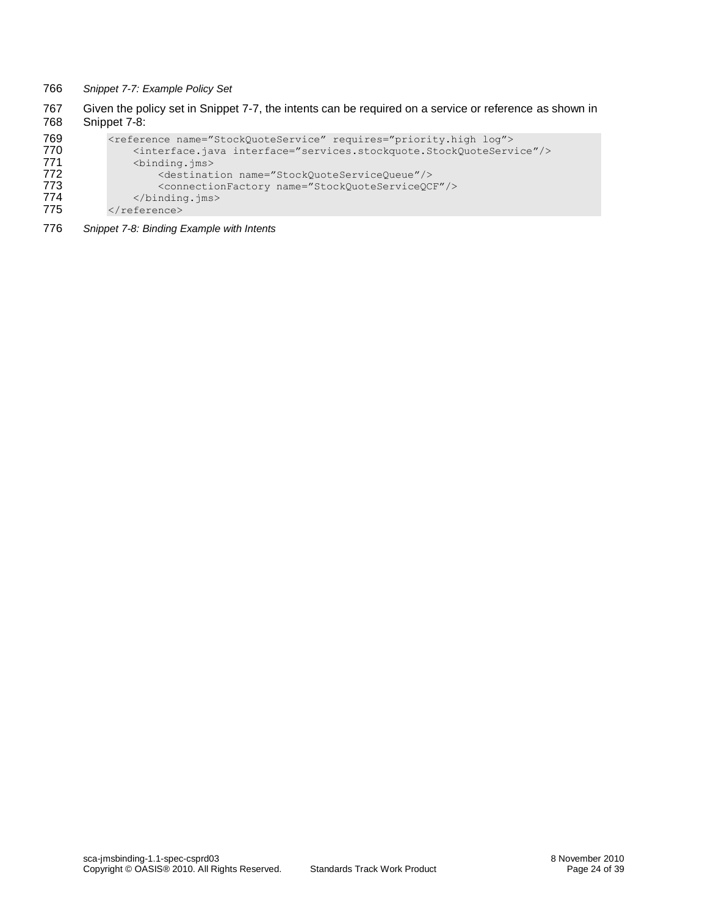- <span id="page-23-0"></span>766 *Snippet 7-7: Example Policy Set*
- 767 Given the policy set in [Snippet 7-7,](#page-23-0) the intents can be required on a service or reference as shown in 768 Shippet 7-8: [Snippet 7-8:](#page-23-1)

```
769 <reference name="StockQuoteService" requires="priority.high log"><br>770 <interface.java interface="services.stockquote.StockQuoteServi
770 <interface.java interface="services.stockquote.StockQuoteService"/>
771 <binding.jms><br>772 <destinat
772 <destination name="StockQuoteServiceQueue"/>
773 <connectionFactory name="StockQuoteServiceQCF"/><br>774 </binding.jms>
774 </binding.jms><br>775 </reference>
            </reference>
```
<span id="page-23-1"></span>776 *Snippet 7-8: Binding Example with Intents*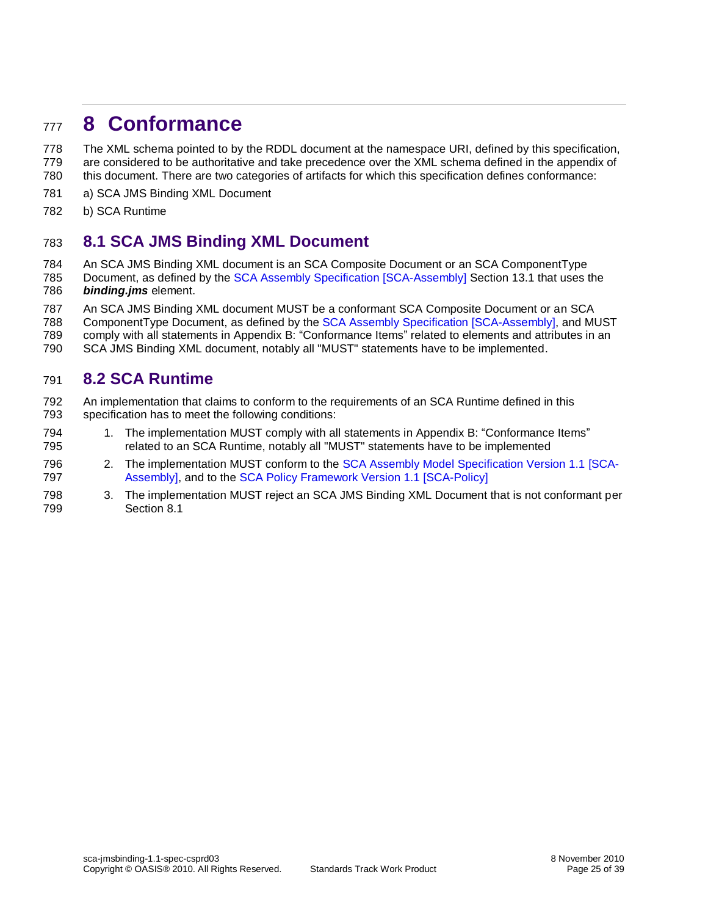### <span id="page-24-0"></span>**8 Conformance**

 The XML schema pointed to by the RDDL document at the namespace URI, defined by this specification, are considered to be authoritative and take precedence over the XML schema defined in the appendix of this document. There are two categories of artifacts for which this specification defines conformance:

- a) SCA JMS Binding XML Document
- b) SCA Runtime

#### <span id="page-24-1"></span>**8.1 SCA JMS Binding XML Document**

An SCA JMS Binding XML document is an SCA Composite Document or an SCA ComponentType

- Document, as defined by the [SCA Assembly Specification](#page-5-0) [SCA-Assembly] Section 13.1 that uses the *binding.jms* element.
- An SCA JMS Binding XML document MUST be a conformant SCA Composite Document or an SCA
- ComponentType Document, as defined by the [SCA Assembly Specification](#page-5-0) [SCA-Assembly], and MUST
- comply with all statements in Appendix [B:](#page-29-0) ["Conformance Items"](#page-29-0) related to elements and attributes in an
- SCA JMS Binding XML document, notably all "MUST" statements have to be implemented.

#### <span id="page-24-2"></span>**8.2 SCA Runtime**

- An implementation that claims to conform to the requirements of an SCA Runtime defined in this specification has to meet the following conditions:
- 1. The implementation MUST comply with all statements in Appendix [B:](#page-29-0) ["Conformance Items"](#page-29-0) related to an SCA Runtime, notably all "MUST" statements have to be implemented
- 2. The implementation MUST conform to the [SCA Assembly Model Specification Version 1.1](#page-5-0) [SCA-[Assembly\],](#page-5-0) and to the [SCA Policy Framework Version 1.1](#page-5-3) [SCA-Policy]
- 3. The implementation MUST reject an SCA JMS Binding XML Document that is not conformant per Section [8.1](#page-24-1)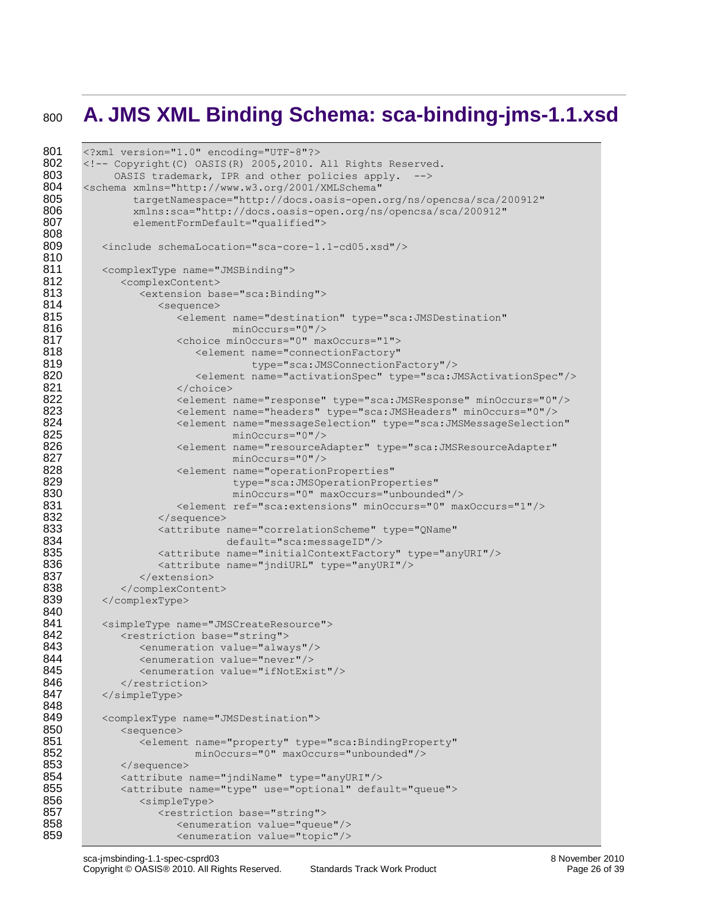## <span id="page-25-0"></span><sup>800</sup> **A. JMS XML Binding Schema: sca-binding-jms-1.1.xsd**

```
801 <?xml version="1.0" encoding="UTF-8"?>
802 <!-- Copyright(C) OASIS(R) 2005,2010. All Rights Reserved.<br>803 0ASIS trademark. IPR and other policies apply. -->
             0ASIS trademark, IPR and other policies apply. -->
804 <schema xmlns="http://www.w3.org/2001/XMLSchema"<br>805 targetNamespace="http://docs.oasis-open.
805 targetNamespace="http://docs.oasis-open.org/ns/opencsa/sca/200912"<br>806 mins:sca="http://docs.oasis-open.org/ns/opencsa/sca/200912"
                806 xmlns:sca="http://docs.oasis-open.org/ns/opencsa/sca/200912"
807 elementFormDefault="qualified">
808
           809 <include schemaLocation="sca-core-1.1-cd05.xsd"/>
810<br>811
           811 <complexType name="JMSBinding">
812 <complexContent>
813 <extension base="sca:Binding"><br>814 <sequence>
                     <sequence>
815 <element name="destination" type="sca:JMSDestination"
816 minOccurs="0"/>
817 (and the choice minOccurs="0" maxOccurs="1"><br>818 (alement name="connectionFactory"
818 <element name="connectionFactory"<br>819 type="sca:JMSConnectionF
819 type="sca:JMSConnectionFactory"/><br>820 the settlement name="activationSpec" type="sca:JMSConnectionFactory"/>
820 <element name="activationSpec" type="sca:JMSActivationSpec"/><br>821 </choice>
821 </choice><br>822 <element
822 <element name="response" type="sca:JMSResponse" minOccurs="0"/><br>823 <element name="headers" type="sca:JMSHeaders" minOccurs="0"/>
823 <element name="headers" type="sca:JMSHeaders" minOccurs="0"/>
824 <element name="messageSelection" type="sca:JMSMessageSelection"<br>825 minOccurs="0"/>
825 minOccurs="0"/><br>826 minOccurs="0"/> <element name="resourceA
826 <element name="resourceAdapter" type="sca:JMSResourceAdapter" <a><br>827 minOccurs="0"/>
827 minOccurs="0"/><br>828 <element name="operation
                        828 <element name="operationProperties" 
829 type="sca:JMSOperationProperties"
830 minOccurs="0" maxOccurs="unbounded"/>
831 <element ref="sca:extensions" minOccurs="0" maxOccurs="1"/><br>832 </sequence>
832 </sequence>
833 <attribute name="correlationScheme" type="QName"<br>834 default="sca:messageID"/>
834 default="sca:messageID"/><br>835 <attribute name="initialContextFacto>
835 <attribute name="initialContextFactory" type="anyURI"/><br>836 <attribute name="indiURL" type="anyURI"/>
                     836 <attribute name="jndiURL" type="anyURI"/>
837 </extension>
838 </complexContent><br>839 </complexType>
           839 </complexType>
840<br>841
841 < simpleType name="JMSCreateResource"><br>842 < restriction base="string">
842 <restriction base="string">
                 843 <enumeration value="always"/>
844 <enumeration value="never"/>
845 <enumeration value="ifNotExist"/><br>846 </restriction>
846 </restriction><br>847 </simpleType>
           847 </simpleType>
848<br>849
           849 <complexType name="JMSDestination">
850 <sequence>
851 <element name="property" type="sca:BindingProperty"
852 minOccurs="0" maxOccurs="unbounded"/>
853 </sequence><br>854 <attribute
854 <attribute name="jndiName" type="anyURI"/><br>855 <attribute name="type" use="optional" defa
855 <attribute name="type" use="optional" default="queue">
                 856 <simpleType>
857 > <restriction base="string"><br>858 > <enumeration value="gueu
858 <enumeration value="queue"/><br>859 <enumeration value="topic"/>
                        859 <enumeration value="topic"/>
```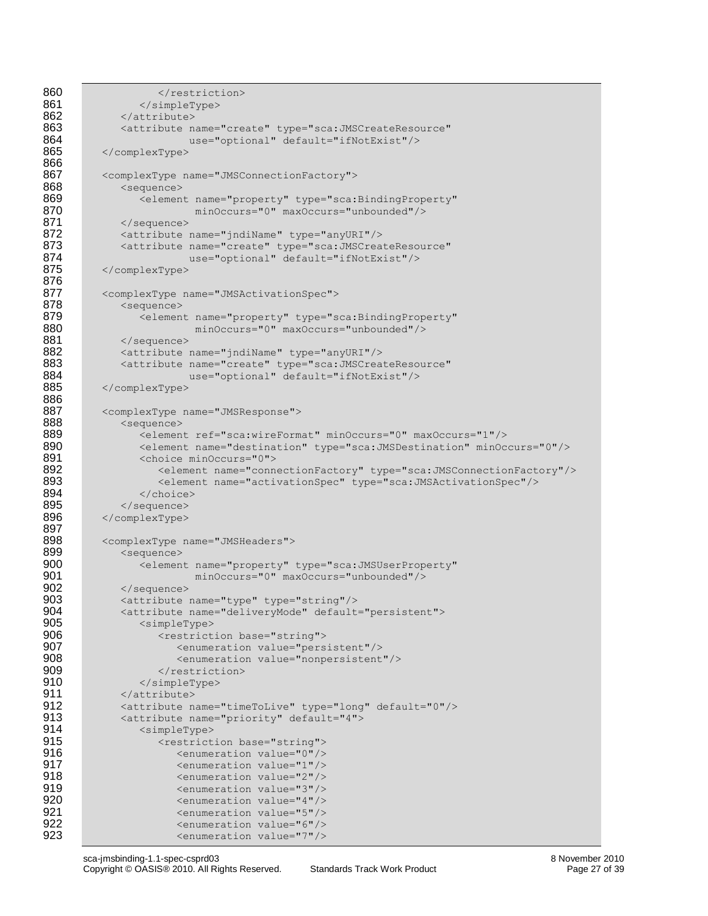```
860 </restriction><br>861 </simpleType>
861 </simpleType><br>862 </attribute>
                </attribute>
863 <attribute name="create" type="sca:JMSCreateResource"<br>864 use="optional" default="ifNotExist"/>
864 use="optional" default="ifNotExist"/><br>865 </complexType>
            865 </complexType>
866
867 <complexType name="JMSConnectionFactory">
868 <sequence><br>869 <sequence>
869 <element name="property" type="sca:BindingProperty"<br>870 minOccurs="0" maxOccurs="unbounded"/>
                               870 minOccurs="0" maxOccurs="unbounded"/>
871 </sequence><br>872 <attribute
                872 <attribute name="jndiName" type="anyURI"/>
873 <attribute name="create" type="sca:JMSCreateResource"<br>874 = se="optional" default="ifNotExist"/>
                              use="optional" default="ifNotExist"/>
875 </complexType>
876
877 <complexType name="JMSActivationSpec"><br>878 <sequence>
878 <sequence><br>879 <elemen
879 <element name="property" type="sca:BindingProperty"<br>880 minOccurs="0" maxOccurs="unbounded"/>
880 minOccurs="0" maxOccurs="unbounded"/><br>881 </sequence>
881 </sequence><br>882 <attribute
882 <attribute name="jndiName" type="anyURI"/><br>883 <attribute name="create" type="sca:JMSCrea
883 <attribute name="create" type="sca:JMSCreateResource"<br>884 use="optional" default="ifNotExist"/>
884 use="optional" default="ifNotExist"/><br>885 </complexType>
            885 </complexType>
886
887 <complexType name="JMSResponse"><br>888 <sequence>
888 <sequence><br>889 <sequence>
889 <element ref="sca:wireFormat" minOccurs="0" maxOccurs="1"/><br>890 <element name="destination" type="sca:JMSDestination" minOc
890 <element name="destination" type="sca:JMSDestination" minOccurs="0"/><br>891 <choice minOccurs="0">
891 <choice minOccurs="0"><br>892 <element name="conn
                        892 <element name="connectionFactory" type="sca:JMSConnectionFactory"/> 
893 <element name="activationSpec" type="sca:JMSActivationSpec"/><br>894 </choice>
                    </choice>
895 </sequence><br>896 </complexType>
            896 </complexType>
897<br>898
898 <complexType name="JMSHeaders"><br>899 <sequence>
                899 <sequence>
900 <element name="property" type="sca:JMSUserProperty"<br>901 minOccurs="0" maxOccurs="unbounded"/>
901 minOccurs="0" maxOccurs="unbounded"/><br>902 </sequence>
902 </sequence><br>903 <attribute
903 <attribute name="type" type="string"/><br>904 <attribute name="delivervMode" default
904 <attribute name="deliveryMode" default="persistent"><br>905 <simpleType>
905 <simpleType><br>906 <simpleType>
906 > <restriction base="string"><br>907 > <enumeration value="pers
                           907 <enumeration value="persistent"/>
908 <enumeration value="nonpersistent"/><br>909 </restriction>
909 </restriction><br>910 </simpleType>
910 </simpleType><br>911 </attribute>
911 </attribute><br>912 <attribute n
912 <attribute name="timeToLive" type="long" default="0"/><br>913 <attribute name="priority" default="4">
                913 <attribute name="priority" default="4">
914 <simpleType>
915 > <restriction base="string"><br>916 > <enumeration value="0"/>
916 (Senumeration value="0"/><br>917 (Senumeration value="1"/>
917 (Senumeration value="1"/><br>918 (Senumeration value="2"/>
918 (919)<br>919 <enumeration value="2"/>
919
919 (1998) <enumeration value="3"/>
920 (1998) <enumeration value="4"/>
                           920 <enumeration value="4"/>
921 <enumeration value="5"/>
922 <enumeration value="6"/><br>923 <enumeration value="7"/>
                           923 <enumeration value="7"/>
```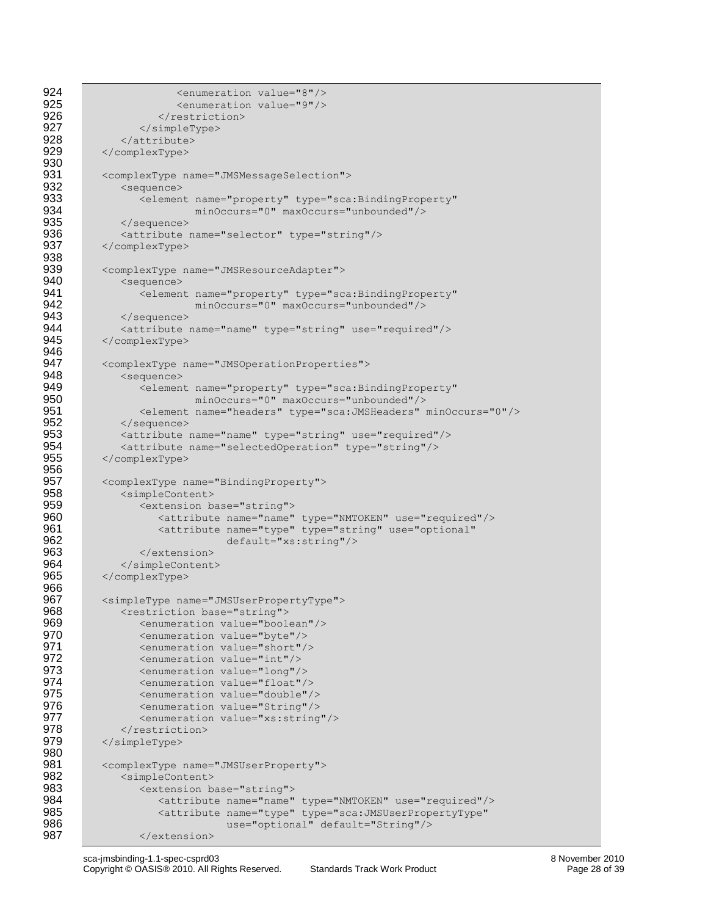```
924 <enumeration value="8"/>
925 <enumeration value="9"/><br>926 </restriction>
                      </restriction>
927 </simpleType><br>928 </attribute>
928 </attribute><br>929 </complexType>
           929 </complexType>
930<br>931
931 <complexType name="JMSMessageSelection"><br>932 <sequence>
932 <sequence> 
933 <element name="property" type="sca:BindingProperty"<br>934 minOccurs="0" maxOccurs="unbounded"/>
934 minOccurs="0" maxOccurs="unbounded"/><br>935 </sequence>
935 </sequence><br>936 <attribute
936 <attribute name="selector" type="string"/><br>937 </complexType>
           937 </complexType>
938<br>939
939 <complexType name="JMSResourceAdapter"><br>940 <sequence>
940 <sequence><br>941 <sequence>
941 <element name="property" type="sca:BindingProperty"<br>942 minOccurs="0" maxOccurs="unbounded"/>
942 minOccurs="0" maxOccurs="unbounded"/><br>943 </sequence>
943 </sequence><br>944 <attribute
944 <attribute name="name" type="string" use="required"/><br>945 </complexType>
           945 </complexType>
946<br>947
947 <complexType name="JMSOperationProperties"><br>948 <sequence>
948 <sequence><br>949 <sequence>
949 <element name="property" type="sca:BindingProperty"<br>950 minOccurs="0" maxOccurs="unbounded"/>
950 minOccurs="0" maxOccurs="unbounded"/>
951 <element name="headers" type="sca:JMSHeaders" minOccurs="0"/><br>952 </sequence>
952 </sequence><br>953 <attribute
953 <attribute name="name" type="string" use="required"/><br>954 <attribute name="selectedOperation" type="string"/>
954 <attribute name="selectedOperation" type="string"/><br>955 </complexType>
           955 </complexType>
956
957 <complexType name="BindingProperty"><br>958 <simpleContent>
958 <simpleContent><br>959 <extension b
959 <extension base="string">
960 <attribute name="name" type="NMTOKEN" use="required"/>
961 <attribute name="type" type="string" use="optional"<br>962 default="xs:string"/>
962 default="xs:string"/><br>963 </extension>
                   963 </extension>
964 </simpleContent><br>965 </complexType>
           965 </complexType>
966
967 <simpleType name="JMSUserPropertyType"><br>968 <restriction base="string">
968 <restriction base="string"><br>969 <enumeration value="bool
969 <enumeration value="boolean"/><br>970 <enumeration value="byte"/>
970 > <enumeration value="byte"/><br>971 > <enumeration value="short"/
                  971 <enumeration value="short"/>
972 <enumeration value="int"/><br>973 <enumeration value="long"/
973 > <enumeration value="long"/><br>974 > <enumeration value="float"/
974 <enumeration value="float"/><br>975 <enumeration value="double"/
975 <enumeration value="double"/>
976 > <enumeration value="String"/><br>977 > <enumeration value="xs:string"
                   977 <enumeration value="xs:string"/>
978 </restriction>
979 </simpleType>
980<br>981
981 <complexType name="JMSUserProperty"><br>982 <simpleContent>
982 <simpleContent><br>983 <sattension b
983 <extension base="string"><br>984 <attribute name="name"
                      984 <attribute name="name" type="NMTOKEN" use="required"/>
985 <attribute name="type" type="sca:JMSUserPropertyType"
986 use="optional" default="String"/>
987 </extension>
```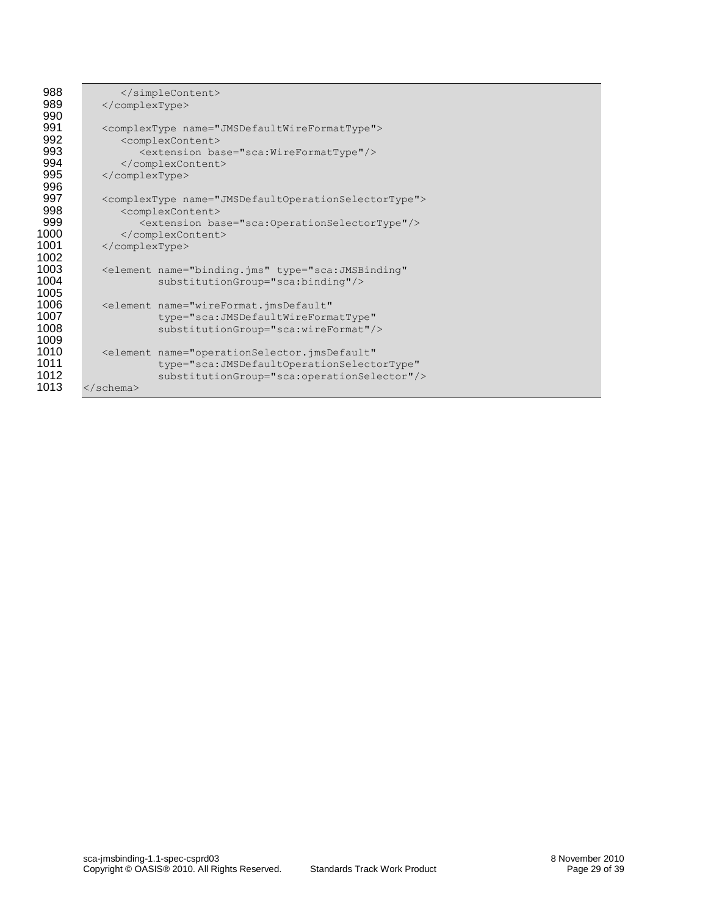| 988  |                                                                         |
|------|-------------------------------------------------------------------------|
| 989  |                                                                         |
| 990  |                                                                         |
| 991  | <complextype name="JMSDefaultWireFormatType"></complextype>             |
| 992  | <complexcontent></complexcontent>                                       |
| 993  | <extension base="sca:WireFormatType"></extension>                       |
| 994  |                                                                         |
| 995  |                                                                         |
| 996  |                                                                         |
| 997  | <complextype name="JMSDefaultOperationSelectorType"></complextype>      |
| 998  | <complexcontent></complexcontent>                                       |
| 999  | <extension base="sca:OperationSelectorType"></extension>                |
| 1000 |                                                                         |
| 1001 |                                                                         |
| 1002 |                                                                         |
| 1003 | <element <="" name="binding.jms" th="" type="sca:JMSBinding"></element> |
| 1004 | substitutionGroup="sca:binding"/>                                       |
| 1005 |                                                                         |
| 1006 | <element <="" name="wireFormat.jmsDefault" th=""></element>             |
| 1007 | type="sca:JMSDefaultWireFormatType"                                     |
| 1008 | substitutionGroup="sca:wireFormat"/>                                    |
| 1009 |                                                                         |
| 1010 | <element <="" name="operationSelector.jmsDefault" th=""></element>      |
| 1011 | type="sca:JMSDefaultOperationSelectorType"                              |
| 1012 | substitutionGroup="sca:operationSelector"/>                             |
| 1013 | $\langle$ /schema>                                                      |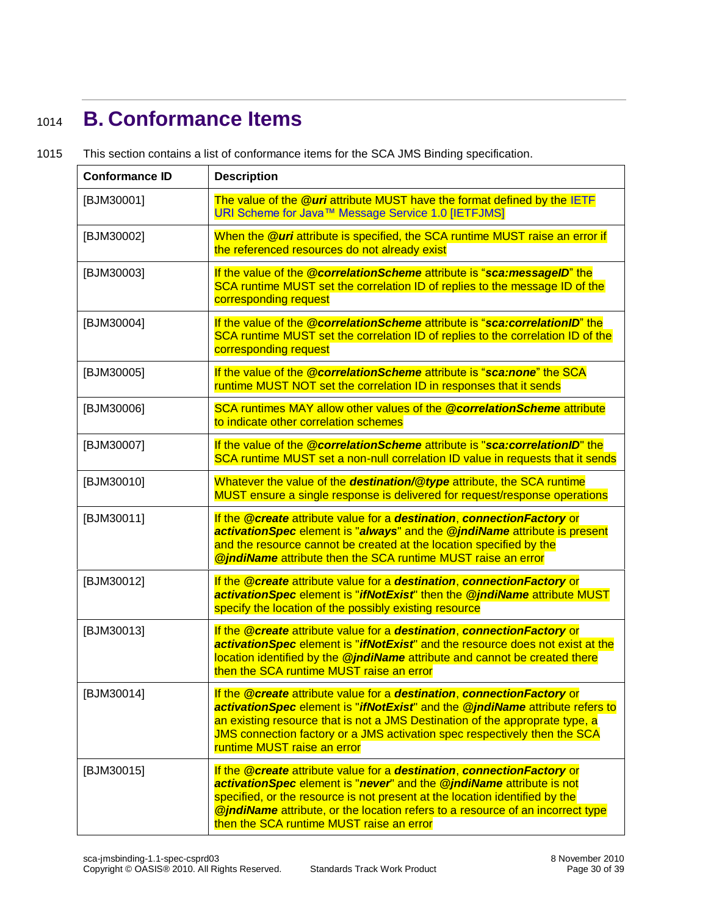# <span id="page-29-0"></span><sup>1014</sup> **B. Conformance Items**

1015 This section contains a list of conformance items for the SCA JMS Binding specification.

<span id="page-29-13"></span><span id="page-29-12"></span><span id="page-29-11"></span><span id="page-29-10"></span><span id="page-29-9"></span><span id="page-29-8"></span><span id="page-29-7"></span><span id="page-29-6"></span><span id="page-29-5"></span><span id="page-29-4"></span><span id="page-29-3"></span><span id="page-29-2"></span><span id="page-29-1"></span>

| <b>Conformance ID</b> | <b>Description</b>                                                                                                                                                                                                                                                                                                                                                 |
|-----------------------|--------------------------------------------------------------------------------------------------------------------------------------------------------------------------------------------------------------------------------------------------------------------------------------------------------------------------------------------------------------------|
| [BJM30001]            | The value of the <b>@uri</b> attribute MUST have the format defined by the IETF<br>URI Scheme for Java™ Message Service 1.0 [IETFJMS]                                                                                                                                                                                                                              |
| [BJM30002]            | When the @uri attribute is specified, the SCA runtime MUST raise an error if<br>the referenced resources do not already exist                                                                                                                                                                                                                                      |
| [BJM30003]            | If the value of the <i>@correlationScheme</i> attribute is "sca:messageID" the<br>SCA runtime MUST set the correlation ID of replies to the message ID of the<br>corresponding request                                                                                                                                                                             |
| [BJM30004]            | If the value of the <b>@correlationScheme</b> attribute is "sca:correlationID" the<br>SCA runtime MUST set the correlation ID of replies to the correlation ID of the<br>corresponding request                                                                                                                                                                     |
| [BJM30005]            | If the value of the @correlationScheme attribute is "sca:none" the SCA<br>runtime MUST NOT set the correlation ID in responses that it sends                                                                                                                                                                                                                       |
| [BJM30006]            | SCA runtimes MAY allow other values of the @correlationScheme attribute<br>to indicate other correlation schemes                                                                                                                                                                                                                                                   |
| [BJM30007]            | If the value of the @correlationScheme attribute is "sca:correlationID" the<br>SCA runtime MUST set a non-null correlation ID value in requests that it sends                                                                                                                                                                                                      |
| [BJM30010]            | Whatever the value of the destination/@type attribute, the SCA runtime<br>MUST ensure a single response is delivered for request/response operations                                                                                                                                                                                                               |
| [BJM30011]            | If the @create attribute value for a destination, connectionFactory or<br>activationSpec element is "always" and the @jndiName attribute is present<br>and the resource cannot be created at the location specified by the<br><b>@jndiName</b> attribute then the SCA runtime MUST raise an error                                                                  |
| [BJM30012]            | If the @create attribute value for a destination, connectionFactory or<br>activationSpec element is "ifNotExist" then the @jndiName attribute MUST<br>specify the location of the possibly existing resource                                                                                                                                                       |
| [BJM30013]            | If the @create attribute value for a destination, connectionFactory or<br>activationSpec element is "ifNotExist" and the resource does not exist at the<br>location identified by the @jndiName attribute and cannot be created there<br>then the SCA runtime MUST raise an error                                                                                  |
| [BJM30014]            | If the @create attribute value for a destination, connectionFactory or<br>activationSpec element is "ifNotExist" and the @jndiName attribute refers to<br>an existing resource that is not a JMS Destination of the approprate type, a<br>JMS connection factory or a JMS activation spec respectively then the SCA<br>runtime MUST raise an error                 |
| [BJM30015]            | If the @create attribute value for a destination, connectionFactory or<br>activationSpec element is "never" and the @jndiName attribute is not<br>specified, or the resource is not present at the location identified by the<br><b>@jndiName</b> attribute, or the location refers to a resource of an incorrect type<br>then the SCA runtime MUST raise an error |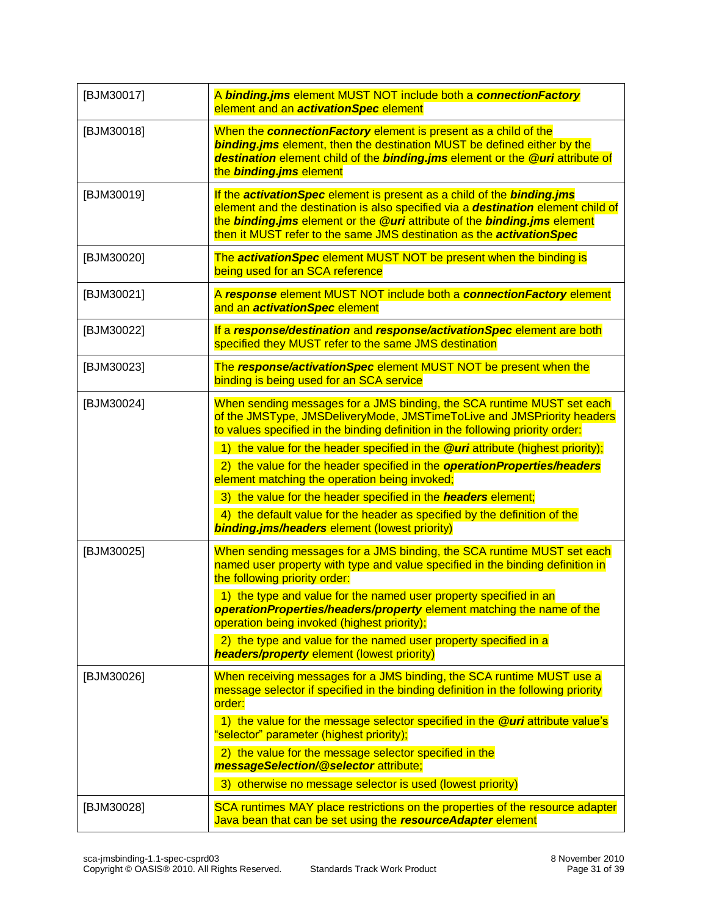<span id="page-30-10"></span><span id="page-30-9"></span><span id="page-30-8"></span><span id="page-30-7"></span><span id="page-30-6"></span><span id="page-30-5"></span><span id="page-30-4"></span><span id="page-30-3"></span><span id="page-30-2"></span><span id="page-30-1"></span><span id="page-30-0"></span>

| [BJM30017] | A binding.jms element MUST NOT include both a connectionFactory<br>element and an <b>activationSpec</b> element                                                                                                                                                                                                                                                                                                                                                                                                                                                                                                                                          |
|------------|----------------------------------------------------------------------------------------------------------------------------------------------------------------------------------------------------------------------------------------------------------------------------------------------------------------------------------------------------------------------------------------------------------------------------------------------------------------------------------------------------------------------------------------------------------------------------------------------------------------------------------------------------------|
| [BJM30018] | When the connectionFactory element is present as a child of the<br><b>binding.jms</b> element, then the destination MUST be defined either by the<br>destination element child of the binding.jms element or the @uri attribute of<br>the binding.jms element                                                                                                                                                                                                                                                                                                                                                                                            |
| [BJM30019] | If the activationSpec element is present as a child of the binding.jms<br>element and the destination is also specified via a destination element child of<br>the binding.jms element or the @uri attribute of the binding.jms element<br>then it MUST refer to the same JMS destination as the <b>activationSpec</b>                                                                                                                                                                                                                                                                                                                                    |
| [BJM30020] | The activationSpec element MUST NOT be present when the binding is<br>being used for an SCA reference                                                                                                                                                                                                                                                                                                                                                                                                                                                                                                                                                    |
| [BJM30021] | A response element MUST NOT include both a connectionFactory element<br>and an <i>activationSpec</i> element                                                                                                                                                                                                                                                                                                                                                                                                                                                                                                                                             |
| [BJM30022] | If a response/destination and response/activationSpec element are both<br>specified they MUST refer to the same JMS destination                                                                                                                                                                                                                                                                                                                                                                                                                                                                                                                          |
| [BJM30023] | The response/activationSpec element MUST NOT be present when the<br>binding is being used for an SCA service                                                                                                                                                                                                                                                                                                                                                                                                                                                                                                                                             |
| [BJM30024] | When sending messages for a JMS binding, the SCA runtime MUST set each<br>of the JMSType, JMSDeliveryMode, JMSTimeToLive and JMSPriority headers<br>to values specified in the binding definition in the following priority order:<br>1) the value for the header specified in the @uri attribute (highest priority);<br>2) the value for the header specified in the operationProperties/headers<br>element matching the operation being invoked;<br>3) the value for the header specified in the headers element;<br>4) the default value for the header as specified by the definition of the<br><b>binding.jms/headers</b> element (lowest priority) |
| [BJM30025] | When sending messages for a JMS binding, the SCA runtime MUST set each<br>named user property with type and value specified in the binding definition in<br>the following priority order:<br>1) the type and value for the named user property specified in an<br>operationProperties/headers/property element matching the name of the<br>operation being invoked (highest priority);<br>2) the type and value for the named user property specified in a<br><b>headers/property</b> element (lowest priority)                                                                                                                                          |
| [BJM30026] | When receiving messages for a JMS binding, the SCA runtime MUST use a<br>message selector if specified in the binding definition in the following priority<br>order:<br>1) the value for the message selector specified in the <b>@uri</b> attribute value's<br>"selector" parameter (highest priority);<br>2) the value for the message selector specified in the<br>messageSelection/@selector attribute;<br>3) otherwise no message selector is used (lowest priority)                                                                                                                                                                                |
| [BJM30028] | SCA runtimes MAY place restrictions on the properties of the resource adapter<br>Java bean that can be set using the resourceAdapter element                                                                                                                                                                                                                                                                                                                                                                                                                                                                                                             |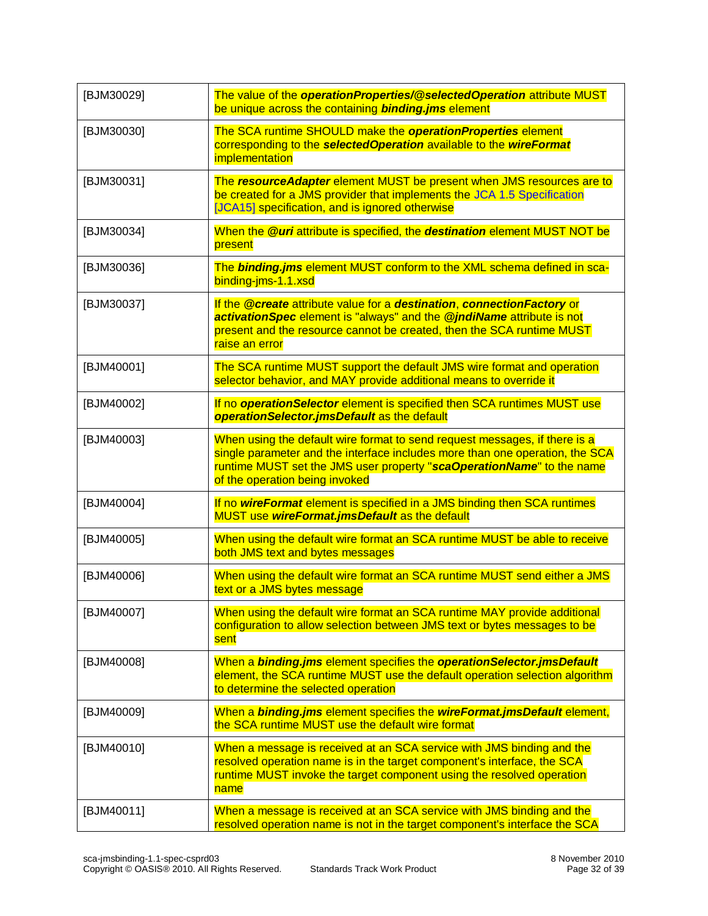<span id="page-31-16"></span><span id="page-31-15"></span><span id="page-31-14"></span><span id="page-31-13"></span><span id="page-31-12"></span><span id="page-31-11"></span><span id="page-31-10"></span><span id="page-31-9"></span><span id="page-31-8"></span><span id="page-31-7"></span><span id="page-31-6"></span><span id="page-31-5"></span><span id="page-31-4"></span><span id="page-31-3"></span><span id="page-31-2"></span><span id="page-31-1"></span><span id="page-31-0"></span>

| [BJM30029] | The value of the operationProperties/@selectedOperation attribute MUST<br>be unique across the containing <b>binding.jms</b> element                                                                                                                                  |
|------------|-----------------------------------------------------------------------------------------------------------------------------------------------------------------------------------------------------------------------------------------------------------------------|
| [BJM30030] | The SCA runtime SHOULD make the operationProperties element<br>corresponding to the selectedOperation available to the wireFormat<br>implementation                                                                                                                   |
| [BJM30031] | The resourceAdapter element MUST be present when JMS resources are to<br>be created for a JMS provider that implements the JCA 1.5 Specification<br>[JCA15] specification, and is ignored otherwise                                                                   |
| [BJM30034] | When the <b>@uri</b> attribute is specified, the <b>destination</b> element MUST NOT be<br>present                                                                                                                                                                    |
| [BJM30036] | The binding.jms element MUST conform to the XML schema defined in sca-<br>binding-jms-1.1.xsd                                                                                                                                                                         |
| [BJM30037] | If the @create attribute value for a destination, connectionFactory or<br>activationSpec element is "always" and the @jndiName attribute is not<br>present and the resource cannot be created, then the SCA runtime MUST<br>raise an error                            |
| [BJM40001] | The SCA runtime MUST support the default JMS wire format and operation<br>selector behavior, and MAY provide additional means to override it                                                                                                                          |
| [BJM40002] | If no <b>operationSelector</b> element is specified then SCA runtimes MUST use<br>operationSelector.jmsDefault as the default                                                                                                                                         |
| [BJM40003] | When using the default wire format to send request messages, if there is a<br>single parameter and the interface includes more than one operation, the SCA<br>runtime MUST set the JMS user property "scaOperationName" to the name<br>of the operation being invoked |
| [BJM40004] | If no wireFormat element is specified in a JMS binding then SCA runtimes<br>MUST use wireFormat.jmsDefault as the default                                                                                                                                             |
| [BJM40005] | When using the default wire format an SCA runtime MUST be able to receive<br>both JMS text and bytes messages                                                                                                                                                         |
| [BJM40006] | When using the default wire format an SCA runtime MUST send either a JMS<br>text or a JMS bytes message                                                                                                                                                               |
| [BJM40007] | When using the default wire format an SCA runtime MAY provide additional<br>configuration to allow selection between JMS text or bytes messages to be<br>sent                                                                                                         |
| [BJM40008] | When a binding.jms element specifies the operationSelector.jmsDefault<br>element, the SCA runtime MUST use the default operation selection algorithm<br>to determine the selected operation                                                                           |
| [BJM40009] | When a binding.jms element specifies the wireFormat.jmsDefault element,<br>the SCA runtime MUST use the default wire format                                                                                                                                           |
| [BJM40010] | When a message is received at an SCA service with JMS binding and the<br>resolved operation name is in the target component's interface, the SCA<br>runtime MUST invoke the target component using the resolved operation<br>name                                     |
| [BJM40011] | When a message is received at an SCA service with JMS binding and the<br>resolved operation name is not in the target component's interface the SCA                                                                                                                   |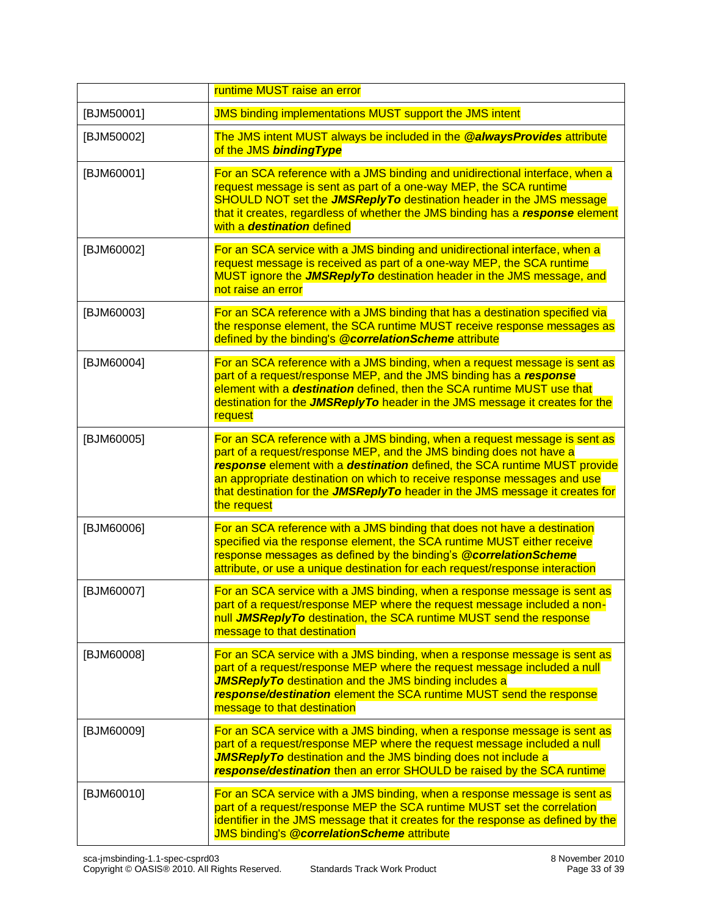<span id="page-32-11"></span><span id="page-32-10"></span><span id="page-32-9"></span><span id="page-32-8"></span><span id="page-32-7"></span><span id="page-32-6"></span><span id="page-32-5"></span><span id="page-32-4"></span><span id="page-32-3"></span><span id="page-32-2"></span><span id="page-32-1"></span><span id="page-32-0"></span>

|            | runtime MUST raise an error                                                                                                                                                                                                                                                                                                                                                                               |
|------------|-----------------------------------------------------------------------------------------------------------------------------------------------------------------------------------------------------------------------------------------------------------------------------------------------------------------------------------------------------------------------------------------------------------|
| [BJM50001] | <b>JMS binding implementations MUST support the JMS intent</b>                                                                                                                                                                                                                                                                                                                                            |
| [BJM50002] | The JMS intent MUST always be included in the @alwaysProvides attribute<br>of the JMS binding Type                                                                                                                                                                                                                                                                                                        |
| [BJM60001] | For an SCA reference with a JMS binding and unidirectional interface, when a<br>request message is sent as part of a one-way MEP, the SCA runtime<br>SHOULD NOT set the <b>JMSReplyTo</b> destination header in the JMS message<br>that it creates, regardless of whether the JMS binding has a response element<br>with a <b>destination</b> defined                                                     |
| [BJM60002] | For an SCA service with a JMS binding and unidirectional interface, when a<br>request message is received as part of a one-way MEP, the SCA runtime<br>MUST ignore the JMSReplyTo destination header in the JMS message, and<br>not raise an error                                                                                                                                                        |
| [BJM60003] | For an SCA reference with a JMS binding that has a destination specified via<br>the response element, the SCA runtime MUST receive response messages as<br>defined by the binding's @correlationScheme attribute                                                                                                                                                                                          |
| [BJM60004] | For an SCA reference with a JMS binding, when a request message is sent as<br>part of a request/response MEP, and the JMS binding has a response<br>element with a destination defined, then the SCA runtime MUST use that<br>destination for the JMSReplyTo header in the JMS message it creates for the<br>request                                                                                      |
| [BJM60005] | For an SCA reference with a JMS binding, when a request message is sent as<br>part of a request/response MEP, and the JMS binding does not have a<br>response element with a destination defined, the SCA runtime MUST provide<br>an appropriate destination on which to receive response messages and use<br>that destination for the JMSReplyTo header in the JMS message it creates for<br>the request |
| [BJM60006] | For an SCA reference with a JMS binding that does not have a destination<br>specified via the response element, the SCA runtime MUST either receive<br>response messages as defined by the binding's @correlationScheme<br>attribute, or use a unique destination for each request/response interaction                                                                                                   |
| [BJM60007] | For an SCA service with a JMS binding, when a response message is sent as<br>part of a request/response MEP where the request message included a non-<br>null <b>JMSReplyTo</b> destination, the SCA runtime MUST send the response<br>message to that destination                                                                                                                                        |
| [BJM60008] | For an SCA service with a JMS binding, when a response message is sent as<br>part of a request/response MEP where the request message included a null<br><b>JMSReplyTo</b> destination and the JMS binding includes a<br>response/destination element the SCA runtime MUST send the response<br>message to that destination                                                                               |
| [BJM60009] | For an SCA service with a JMS binding, when a response message is sent as<br>part of a request/response MEP where the request message included a null<br><b>JMSReplyTo</b> destination and the JMS binding does not include a<br>response/destination then an error SHOULD be raised by the SCA runtime                                                                                                   |
| [BJM60010] | For an SCA service with a JMS binding, when a response message is sent as<br>part of a request/response MEP the SCA runtime MUST set the correlation<br>identifier in the JMS message that it creates for the response as defined by the<br><b>JMS binding's @correlationScheme attribute</b>                                                                                                             |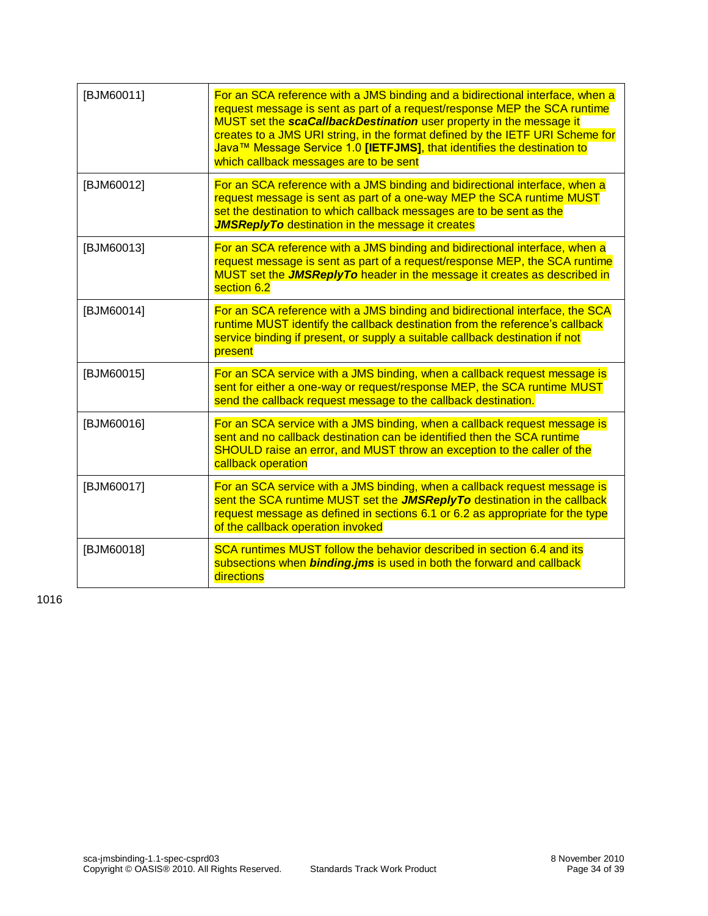<span id="page-33-4"></span><span id="page-33-3"></span><span id="page-33-2"></span><span id="page-33-1"></span>

| [BJM60011] | For an SCA reference with a JMS binding and a bidirectional interface, when a<br>request message is sent as part of a request/response MEP the SCA runtime<br>MUST set the scaCallbackDestination user property in the message it<br>creates to a JMS URI string, in the format defined by the IETF URI Scheme for<br>Java™ Message Service 1.0 [IETFJMS], that identifies the destination to<br>which callback messages are to be sent |
|------------|-----------------------------------------------------------------------------------------------------------------------------------------------------------------------------------------------------------------------------------------------------------------------------------------------------------------------------------------------------------------------------------------------------------------------------------------|
| [BJM60012] | For an SCA reference with a JMS binding and bidirectional interface, when a<br>request message is sent as part of a one-way MEP the SCA runtime MUST<br>set the destination to which callback messages are to be sent as the<br><b>JMSReplyTo</b> destination in the message it creates                                                                                                                                                 |
| [BJM60013] | For an SCA reference with a JMS binding and bidirectional interface, when a<br>request message is sent as part of a request/response MEP, the SCA runtime<br>MUST set the <b>JMSReplyTo</b> header in the message it creates as described in<br>section 6.2                                                                                                                                                                             |
| [BJM60014] | For an SCA reference with a JMS binding and bidirectional interface, the SCA<br>runtime MUST identify the callback destination from the reference's callback<br>service binding if present, or supply a suitable callback destination if not<br>present                                                                                                                                                                                 |
| [BJM60015] | For an SCA service with a JMS binding, when a callback request message is<br>sent for either a one-way or request/response MEP, the SCA runtime MUST<br>send the callback request message to the callback destination.                                                                                                                                                                                                                  |
| [BJM60016] | For an SCA service with a JMS binding, when a callback request message is<br>sent and no callback destination can be identified then the SCA runtime<br>SHOULD raise an error, and MUST throw an exception to the caller of the<br>callback operation                                                                                                                                                                                   |
| [BJM60017] | For an SCA service with a JMS binding, when a callback request message is<br>sent the SCA runtime MUST set the <b>JMSReplyTo</b> destination in the callback<br>request message as defined in sections 6.1 or 6.2 as appropriate for the type<br>of the callback operation invoked                                                                                                                                                      |
| [BJM60018] | SCA runtimes MUST follow the behavior described in section 6.4 and its<br>subsections when <b>binding.jms</b> is used in both the forward and callback<br>directions                                                                                                                                                                                                                                                                    |

<span id="page-33-7"></span><span id="page-33-6"></span><span id="page-33-5"></span><span id="page-33-0"></span>1016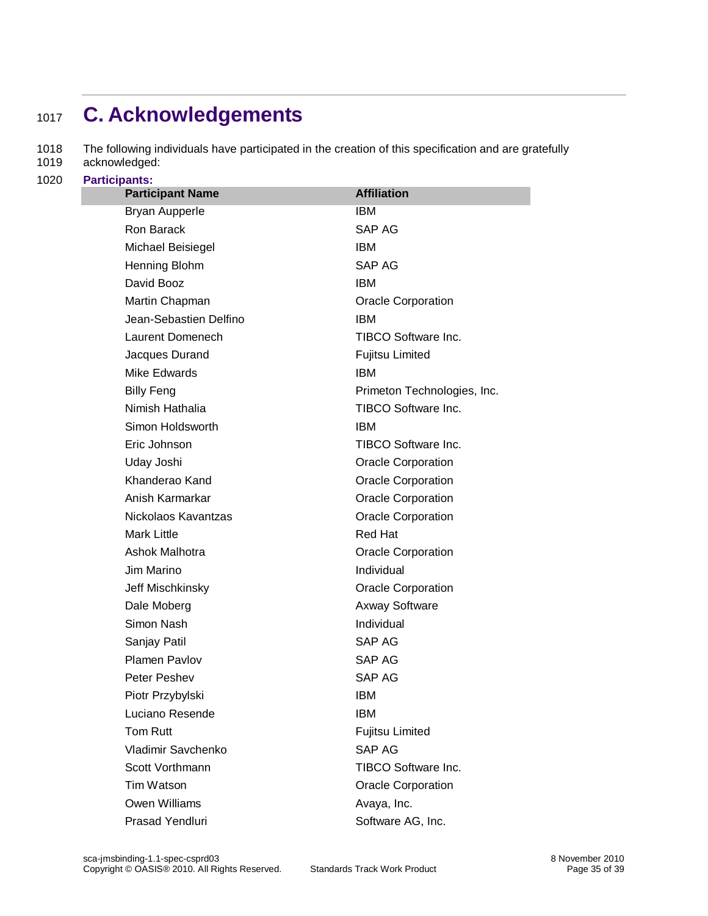# <span id="page-34-0"></span><sup>1017</sup> **C. Acknowledgements**

1018 The following individuals have participated in the creation of this specification and are gratefully

- 1019 acknowledged:
- 1020 **Participants:**

| <b>Participant Name</b> | <b>Affiliation</b>                      |  |
|-------------------------|-----------------------------------------|--|
| <b>Bryan Aupperle</b>   | <b>IBM</b>                              |  |
| Ron Barack              | SAP AG                                  |  |
| Michael Beisiegel       | <b>IBM</b>                              |  |
| Henning Blohm           | <b>SAP AG</b>                           |  |
| David Booz              | <b>IBM</b>                              |  |
| Martin Chapman          | <b>Oracle Corporation</b>               |  |
| Jean-Sebastien Delfino  | <b>IBM</b>                              |  |
| Laurent Domenech        | <b>TIBCO Software Inc.</b>              |  |
| Jacques Durand          | Fujitsu Limited                         |  |
| Mike Edwards            | <b>IBM</b>                              |  |
| <b>Billy Feng</b>       | Primeton Technologies, Inc.             |  |
| Nimish Hathalia         | TIBCO Software Inc.                     |  |
| Simon Holdsworth        | <b>IBM</b>                              |  |
| Eric Johnson            | TIBCO Software Inc.                     |  |
| Uday Joshi              | <b>Oracle Corporation</b>               |  |
| Khanderao Kand          | <b>Oracle Corporation</b>               |  |
| Anish Karmarkar         | <b>Oracle Corporation</b>               |  |
| Nickolaos Kavantzas     | <b>Oracle Corporation</b>               |  |
| <b>Mark Little</b>      | Red Hat                                 |  |
| Ashok Malhotra          | <b>Oracle Corporation</b><br>Individual |  |
| Jim Marino              |                                         |  |
| Jeff Mischkinsky        | <b>Oracle Corporation</b>               |  |
| Dale Moberg             | <b>Axway Software</b>                   |  |
| Simon Nash              | Individual                              |  |
| Sanjay Patil            | SAP AG                                  |  |
| Plamen Pavlov           | SAP AG                                  |  |
| Peter Peshev            | <b>SAP AG</b>                           |  |
| Piotr Przybylski        | <b>IBM</b>                              |  |
| Luciano Resende         | <b>IBM</b>                              |  |
| Tom Rutt                | <b>Fujitsu Limited</b>                  |  |
| Vladimir Savchenko      | SAP AG                                  |  |
| Scott Vorthmann         | <b>TIBCO Software Inc.</b>              |  |
| Tim Watson              | <b>Oracle Corporation</b>               |  |
| <b>Owen Williams</b>    | Avaya, Inc.                             |  |
| Prasad Yendluri         | Software AG, Inc.                       |  |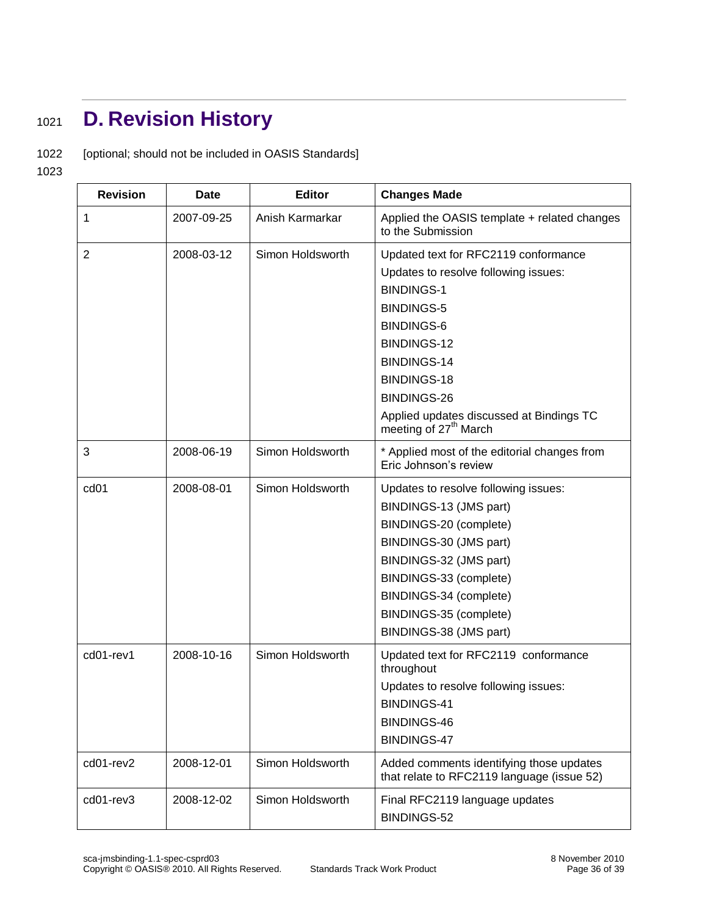# <span id="page-35-0"></span><sup>1021</sup> **D. Revision History**

1022 [optional; should not be included in OASIS Standards]

1023

| <b>Revision</b>  | <b>Date</b> | <b>Editor</b>    | <b>Changes Made</b>                                                                                                                                                                                                                                                                             |
|------------------|-------------|------------------|-------------------------------------------------------------------------------------------------------------------------------------------------------------------------------------------------------------------------------------------------------------------------------------------------|
| 1                | 2007-09-25  | Anish Karmarkar  | Applied the OASIS template + related changes<br>to the Submission                                                                                                                                                                                                                               |
| $\overline{2}$   | 2008-03-12  | Simon Holdsworth | Updated text for RFC2119 conformance<br>Updates to resolve following issues:<br><b>BINDINGS-1</b><br><b>BINDINGS-5</b><br><b>BINDINGS-6</b><br>BINDINGS-12<br>BINDINGS-14<br><b>BINDINGS-18</b><br>BINDINGS-26<br>Applied updates discussed at Bindings TC<br>meeting of 27 <sup>th</sup> March |
| 3                | 2008-06-19  | Simon Holdsworth | * Applied most of the editorial changes from<br>Eric Johnson's review                                                                                                                                                                                                                           |
| cd <sub>01</sub> | 2008-08-01  | Simon Holdsworth | Updates to resolve following issues:<br>BINDINGS-13 (JMS part)<br>BINDINGS-20 (complete)<br>BINDINGS-30 (JMS part)<br>BINDINGS-32 (JMS part)<br>BINDINGS-33 (complete)<br>BINDINGS-34 (complete)<br>BINDINGS-35 (complete)<br>BINDINGS-38 (JMS part)                                            |
| cd01-rev1        | 2008-10-16  | Simon Holdsworth | Updated text for RFC2119 conformance<br>throughout<br>Updates to resolve following issues:<br>BINDINGS-41<br>BINDINGS-46<br><b>BINDINGS-47</b>                                                                                                                                                  |
| cd01-rev2        | 2008-12-01  | Simon Holdsworth | Added comments identifying those updates<br>that relate to RFC2119 language (issue 52)                                                                                                                                                                                                          |
| cd01-rev3        | 2008-12-02  | Simon Holdsworth | Final RFC2119 language updates<br>BINDINGS-52                                                                                                                                                                                                                                                   |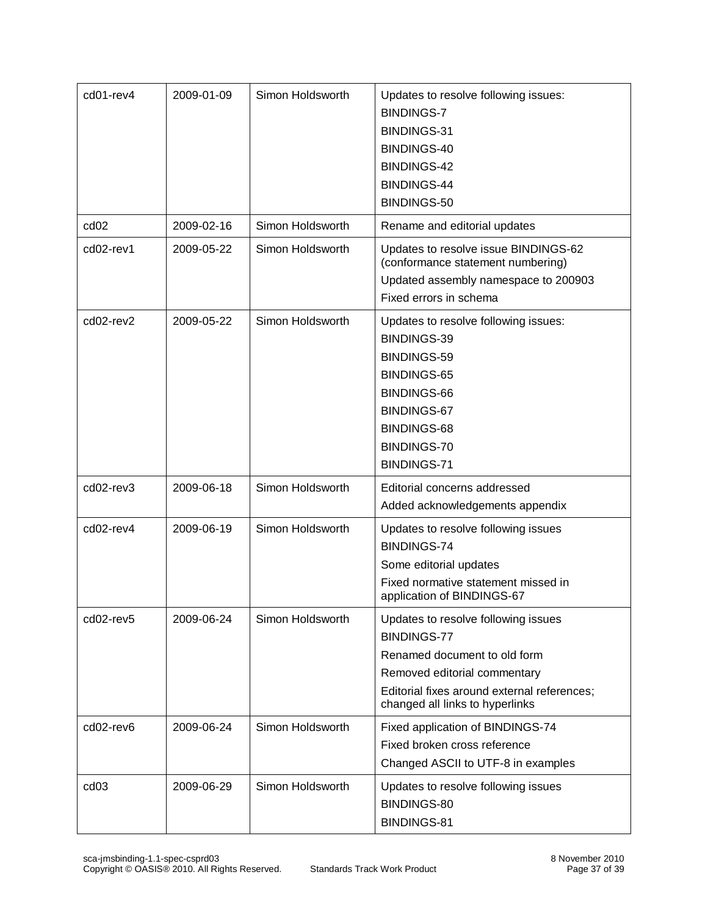| cd01-rev4        | 2009-01-09 | Simon Holdsworth | Updates to resolve following issues:<br><b>BINDINGS-7</b><br>BINDINGS-31<br>BINDINGS-40<br>BINDINGS-42<br>BINDINGS-44<br>BINDINGS-50                                                                        |
|------------------|------------|------------------|-------------------------------------------------------------------------------------------------------------------------------------------------------------------------------------------------------------|
| cd <sub>02</sub> | 2009-02-16 | Simon Holdsworth | Rename and editorial updates                                                                                                                                                                                |
| cd02-rev1        | 2009-05-22 | Simon Holdsworth | Updates to resolve issue BINDINGS-62<br>(conformance statement numbering)<br>Updated assembly namespace to 200903<br>Fixed errors in schema                                                                 |
| cd02-rev2        | 2009-05-22 | Simon Holdsworth | Updates to resolve following issues:<br>BINDINGS-39<br>BINDINGS-59<br><b>BINDINGS-65</b><br>BINDINGS-66<br>BINDINGS-67<br>BINDINGS-68<br>BINDINGS-70<br>BINDINGS-71                                         |
| cd02-rev3        | 2009-06-18 | Simon Holdsworth | Editorial concerns addressed<br>Added acknowledgements appendix                                                                                                                                             |
| cd02-rev4        | 2009-06-19 | Simon Holdsworth | Updates to resolve following issues<br><b>BINDINGS-74</b><br>Some editorial updates<br>Fixed normative statement missed in<br>application of BINDINGS-67                                                    |
| cd02-rev5        | 2009-06-24 | Simon Holdsworth | Updates to resolve following issues<br><b>BINDINGS-77</b><br>Renamed document to old form<br>Removed editorial commentary<br>Editorial fixes around external references;<br>changed all links to hyperlinks |
| cd02-rev6        | 2009-06-24 | Simon Holdsworth | Fixed application of BINDINGS-74<br>Fixed broken cross reference<br>Changed ASCII to UTF-8 in examples                                                                                                      |
| cd <sub>03</sub> | 2009-06-29 | Simon Holdsworth | Updates to resolve following issues<br>BINDINGS-80<br>BINDINGS-81                                                                                                                                           |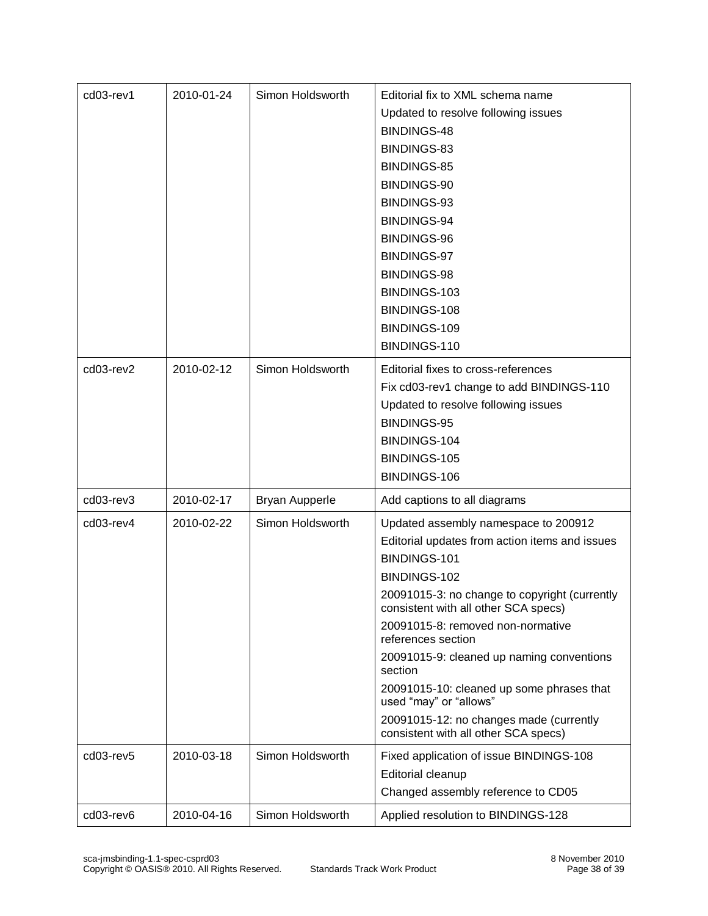| cd03-rev1 | 2010-01-24 | Simon Holdsworth      | Editorial fix to XML schema name                                                      |
|-----------|------------|-----------------------|---------------------------------------------------------------------------------------|
|           |            |                       | Updated to resolve following issues                                                   |
|           |            |                       | BINDINGS-48                                                                           |
|           |            |                       | BINDINGS-83                                                                           |
|           |            |                       | <b>BINDINGS-85</b>                                                                    |
|           |            |                       | BINDINGS-90                                                                           |
|           |            |                       | BINDINGS-93                                                                           |
|           |            |                       | BINDINGS-94                                                                           |
|           |            |                       | BINDINGS-96                                                                           |
|           |            |                       | BINDINGS-97                                                                           |
|           |            |                       | BINDINGS-98                                                                           |
|           |            |                       | BINDINGS-103                                                                          |
|           |            |                       | BINDINGS-108                                                                          |
|           |            |                       | BINDINGS-109                                                                          |
|           |            |                       | BINDINGS-110                                                                          |
| cd03-rev2 | 2010-02-12 | Simon Holdsworth      | Editorial fixes to cross-references                                                   |
|           |            |                       | Fix cd03-rev1 change to add BINDINGS-110                                              |
|           |            |                       | Updated to resolve following issues                                                   |
|           |            |                       | BINDINGS-95                                                                           |
|           |            |                       | BINDINGS-104                                                                          |
|           |            |                       | BINDINGS-105                                                                          |
|           |            |                       | BINDINGS-106                                                                          |
| cd03-rev3 | 2010-02-17 | <b>Bryan Aupperle</b> | Add captions to all diagrams                                                          |
| cd03-rev4 | 2010-02-22 | Simon Holdsworth      | Updated assembly namespace to 200912                                                  |
|           |            |                       | Editorial updates from action items and issues                                        |
|           |            |                       | BINDINGS-101                                                                          |
|           |            |                       | BINDINGS-102                                                                          |
|           |            |                       | 20091015-3: no change to copyright (currently<br>consistent with all other SCA specs) |
|           |            |                       | 20091015-8: removed non-normative<br>references section                               |
|           |            |                       | 20091015-9: cleaned up naming conventions<br>section                                  |
|           |            |                       | 20091015-10: cleaned up some phrases that<br>used "may" or "allows"                   |
|           |            |                       | 20091015-12: no changes made (currently<br>consistent with all other SCA specs)       |
| cd03-rev5 | 2010-03-18 | Simon Holdsworth      | Fixed application of issue BINDINGS-108                                               |
|           |            |                       | Editorial cleanup                                                                     |
|           |            |                       | Changed assembly reference to CD05                                                    |
| cd03-rev6 | 2010-04-16 | Simon Holdsworth      | Applied resolution to BINDINGS-128                                                    |